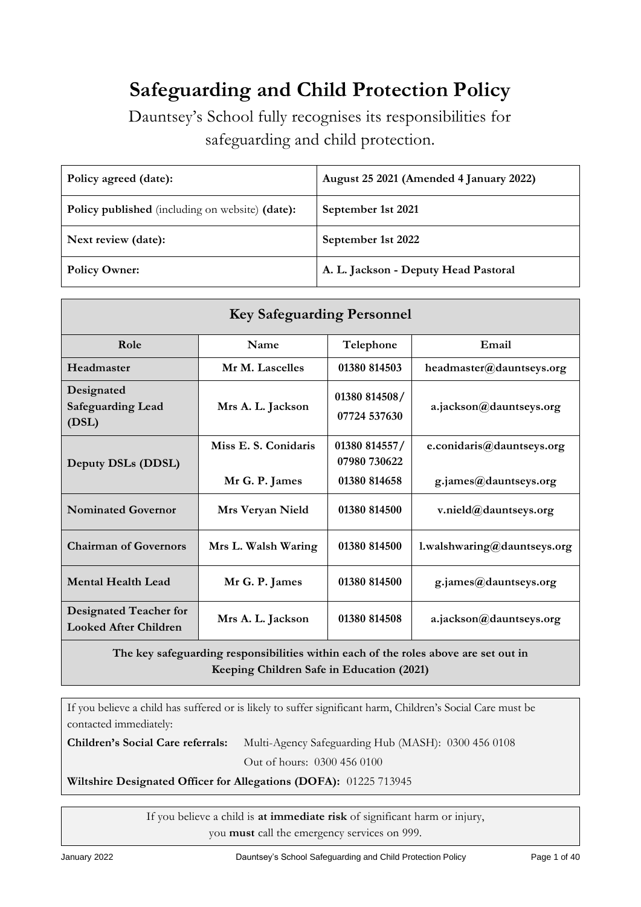# **Safeguarding and Child Protection Policy**

Dauntsey's School fully recognises its responsibilities for safeguarding and child protection.

| Policy agreed (date):                                  | August 25 2021 (Amended 4 January 2022) |
|--------------------------------------------------------|-----------------------------------------|
| <b>Policy published</b> (including on website) (date): | September 1st 2021                      |
| Next review (date):                                    | September 1st 2022                      |
| <b>Policy Owner:</b>                                   | A. L. Jackson - Deputy Head Pastoral    |

| <b>Key Safeguarding Personnel</b>                             |                                        |                                               |                                                    |  |
|---------------------------------------------------------------|----------------------------------------|-----------------------------------------------|----------------------------------------------------|--|
| Role                                                          | Name                                   | Telephone                                     | Email                                              |  |
| Headmaster                                                    | Mr M. Lascelles                        | 01380 814503                                  | headmaster@dauntseys.org                           |  |
| Designated<br><b>Safeguarding Lead</b><br>(DSL)               | Mrs A. L. Jackson                      | 01380 814508/<br>07724 537630                 | a.jackson@dauntseys.org                            |  |
| Deputy DSLs (DDSL)                                            | Miss E. S. Conidaris<br>Mr G. P. James | 01380 814557/<br>07980 730622<br>01380 814658 | e.conidaris@dauntseys.org<br>g.james@dauntseys.org |  |
| <b>Nominated Governor</b>                                     | Mrs Veryan Nield                       | 01380 814500                                  | v.nield@dauntseys.org                              |  |
| <b>Chairman of Governors</b>                                  | Mrs L. Walsh Waring                    | 01380 814500                                  | l.walshwaring@dauntseys.org                        |  |
| <b>Mental Health Lead</b>                                     | Mr G. P. James                         | 01380 814500                                  | g.james@dauntseys.org                              |  |
| <b>Designated Teacher for</b><br><b>Looked After Children</b> | Mrs A. L. Jackson                      | 01380 814508                                  | a.jackson@dauntseys.org                            |  |

**The key safeguarding responsibilities within each of the roles above are set out in Keeping Children Safe in Education (2021)**

If you believe a child has suffered or is likely to suffer significant harm, Children's Social Care must be contacted immediately:

**Children's Social Care referrals:** Multi-Agency Safeguarding Hub (MASH): 0300 456 0108

Out of hours: 0300 456 0100

**Wiltshire Designated Officer for Allegations (DOFA):** 01225 713945

If you believe a child is **at immediate risk** of significant harm or injury, you **must** call the emergency services on 999.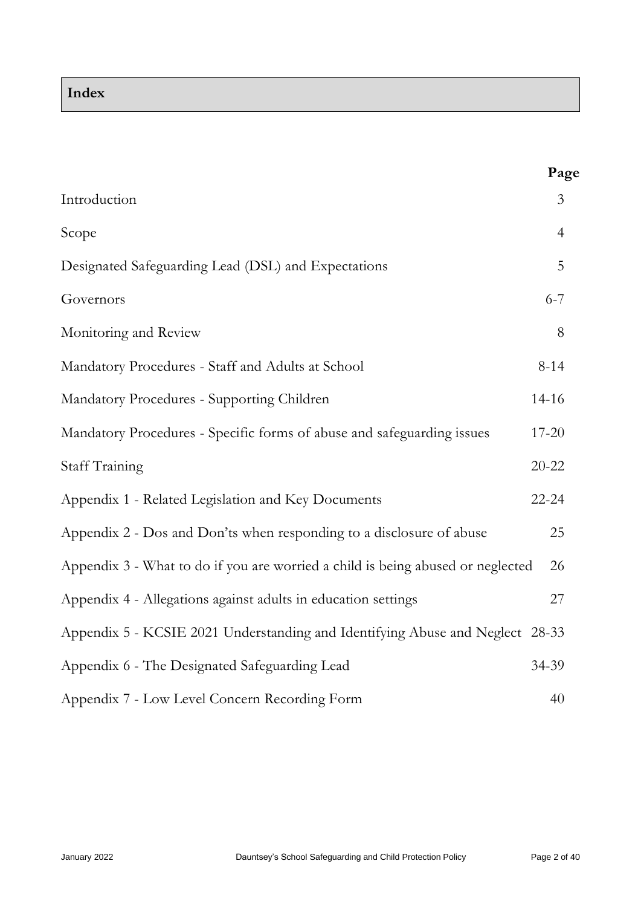# **Index**

|                                                                                 | Page           |
|---------------------------------------------------------------------------------|----------------|
| Introduction                                                                    | 3              |
| Scope                                                                           | $\overline{4}$ |
| Designated Safeguarding Lead (DSL) and Expectations                             | 5              |
| Governors                                                                       | $6 - 7$        |
| Monitoring and Review                                                           | 8              |
| Mandatory Procedures - Staff and Adults at School                               | $8 - 14$       |
| Mandatory Procedures - Supporting Children                                      | 14-16          |
| Mandatory Procedures - Specific forms of abuse and safeguarding issues          | 17-20          |
| <b>Staff Training</b>                                                           | $20 - 22$      |
| Appendix 1 - Related Legislation and Key Documents                              | $22 - 24$      |
| Appendix 2 - Dos and Don'ts when responding to a disclosure of abuse            | 25             |
| Appendix 3 - What to do if you are worried a child is being abused or neglected | 26             |
| Appendix 4 - Allegations against adults in education settings                   | 27             |
| Appendix 5 - KCSIE 2021 Understanding and Identifying Abuse and Neglect 28-33   |                |
| Appendix 6 - The Designated Safeguarding Lead                                   | 34-39          |
| Appendix 7 - Low Level Concern Recording Form                                   | 40             |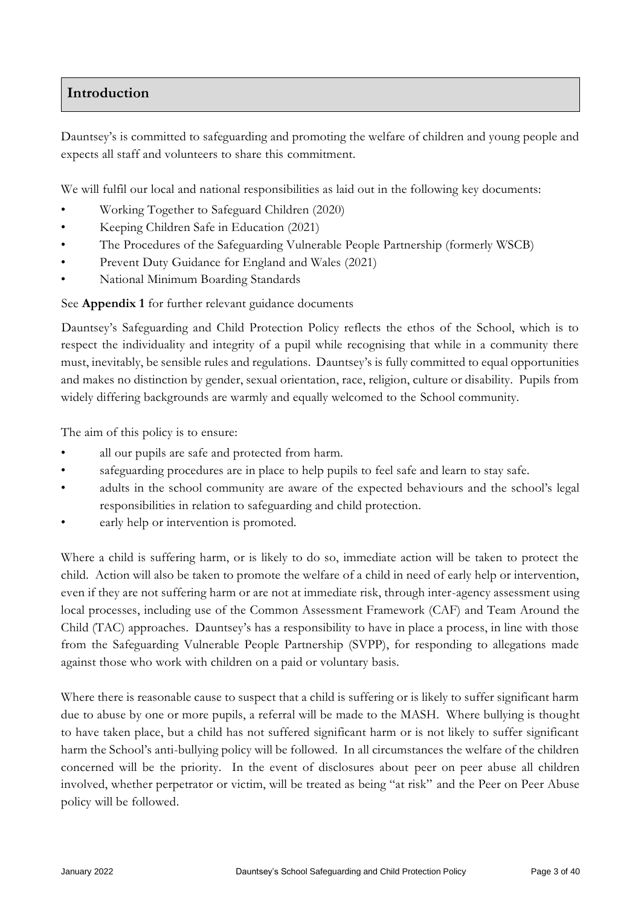# **Introduction**

Dauntsey's is committed to safeguarding and promoting the welfare of children and young people and expects all staff and volunteers to share this commitment.

We will fulfil our local and national responsibilities as laid out in the following key documents:

- Working Together to Safeguard Children (2020)
- Keeping Children Safe in Education (2021)
- [The Procedures of the Safeguarding Vulnerable People Partnership \(formerly WSCB\)](http://www.proceduresonline.com/birmingham/scb/)
- Prevent Duty Guidance for England and Wales (2021)
- National Minimum Boarding Standards

See **Appendix 1** for further relevant guidance documents

Dauntsey's Safeguarding and Child Protection Policy reflects the ethos of the School, which is to respect the individuality and integrity of a pupil while recognising that while in a community there must, inevitably, be sensible rules and regulations. Dauntsey's is fully committed to equal opportunities and makes no distinction by gender, sexual orientation, race, religion, culture or disability. Pupils from widely differing backgrounds are warmly and equally welcomed to the School community.

The aim of this policy is to ensure:

- all our pupils are safe and protected from harm.
- safeguarding procedures are in place to help pupils to feel safe and learn to stay safe.
- adults in the school community are aware of the expected behaviours and the school's legal responsibilities in relation to safeguarding and child protection.
- early help or intervention is promoted.

Where a child is suffering harm, or is likely to do so, immediate action will be taken to protect the child. Action will also be taken to promote the welfare of a child in need of early help or intervention, even if they are not suffering harm or are not at immediate risk, through inter-agency assessment using local processes, including use of the Common Assessment Framework (CAF) and Team Around the Child (TAC) approaches. Dauntsey's has a responsibility to have in place a process, in line with those from the Safeguarding Vulnerable People Partnership (SVPP), for responding to allegations made against those who work with children on a paid or voluntary basis.

Where there is reasonable cause to suspect that a child is suffering or is likely to suffer significant harm due to abuse by one or more pupils, a referral will be made to the MASH. Where bullying is thought to have taken place, but a child has not suffered significant harm or is not likely to suffer significant harm the School's anti-bullying policy will be followed. In all circumstances the welfare of the children concerned will be the priority. In the event of disclosures about peer on peer abuse all children involved, whether perpetrator or victim, will be treated as being "at risk" and the Peer on Peer Abuse policy will be followed.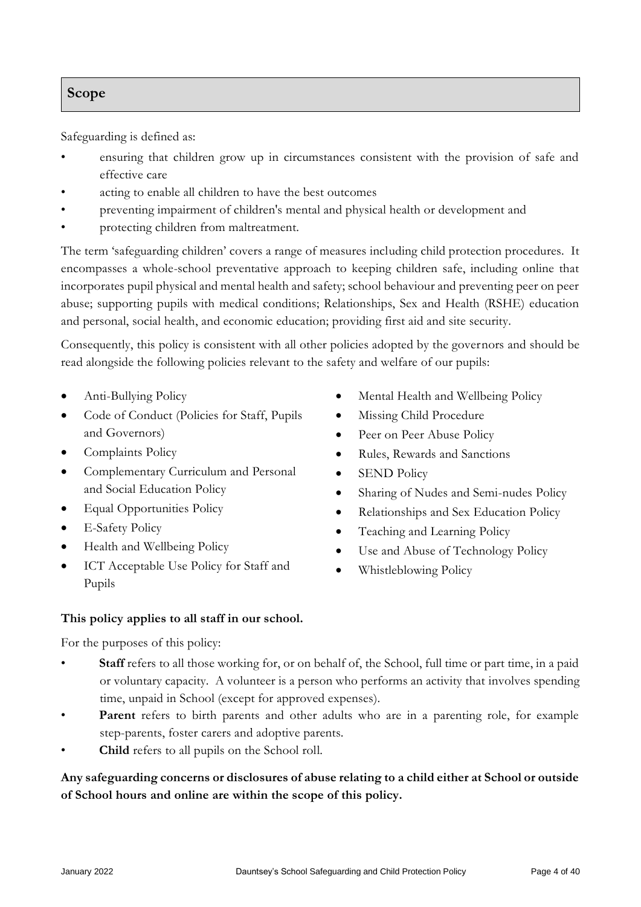# **Scope**

Safeguarding is defined as:

- ensuring that children grow up in circumstances consistent with the provision of safe and effective care
- acting to enable all children to have the best outcomes
- preventing impairment of children's mental and physical health or development and
- protecting children from maltreatment.

The term 'safeguarding children' covers a range of measures including child protection procedures. It encompasses a whole-school preventative approach to keeping children safe, including online that incorporates pupil physical and mental health and safety; school behaviour and preventing peer on peer abuse; supporting pupils with medical conditions; Relationships, Sex and Health (RSHE) education and personal, social health, and economic education; providing first aid and site security.

Consequently, this policy is consistent with all other policies adopted by the governors and should be read alongside the following policies relevant to the safety and welfare of our pupils:

- Anti-Bullying Policy
- Code of Conduct (Policies for Staff, Pupils and Governors)
- Complaints Policy
- Complementary Curriculum and Personal and Social Education Policy
- Equal Opportunities Policy
- E-Safety Policy
- Health and Wellbeing Policy
- ICT Acceptable Use Policy for Staff and Pupils
- Mental Health and Wellbeing Policy
- Missing Child Procedure
- Peer on Peer Abuse Policy
- Rules, Rewards and Sanctions
- SEND Policy
- Sharing of Nudes and Semi-nudes Policy
- Relationships and Sex Education Policy
- Teaching and Learning Policy
- Use and Abuse of Technology Policy
- Whistleblowing Policy

## **This policy applies to all staff in our school.**

For the purposes of this policy:

- **Staff** refers to all those working for, or on behalf of, the School, full time or part time, in a paid or voluntary capacity. A volunteer is a person who performs an activity that involves spending time, unpaid in School (except for approved expenses).
- Parent refers to birth parents and other adults who are in a parenting role, for example step-parents, foster carers and adoptive parents.
- **Child** refers to all pupils on the School roll.

# **Any safeguarding concerns or disclosures of abuse relating to a child either at School or outside of School hours and online are within the scope of this policy.**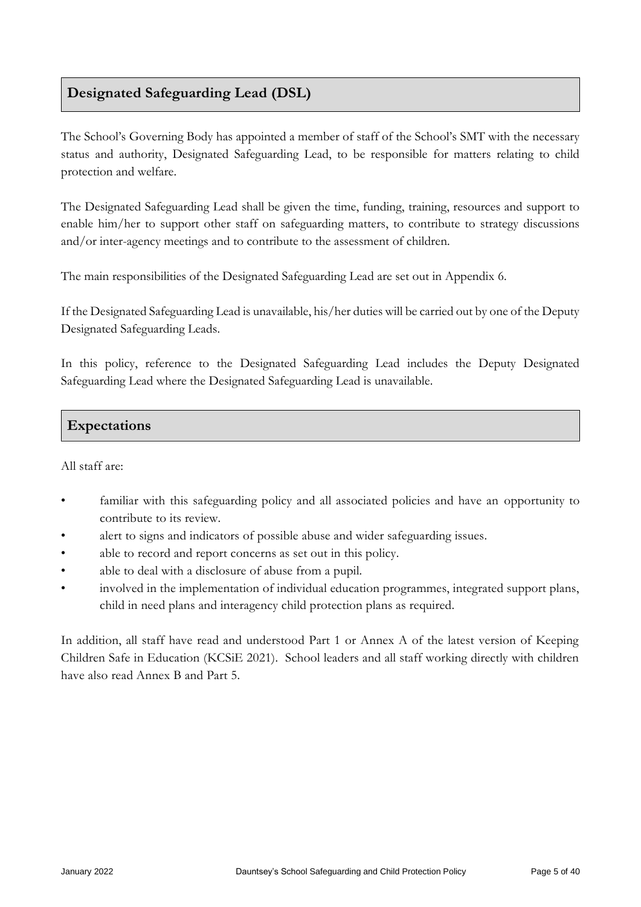# **Designated Safeguarding Lead (DSL)**

The School's Governing Body has appointed a member of staff of the School's SMT with the necessary status and authority, Designated Safeguarding Lead, to be responsible for matters relating to child protection and welfare.

The Designated Safeguarding Lead shall be given the time, funding, training, resources and support to enable him/her to support other staff on safeguarding matters, to contribute to strategy discussions and/or inter-agency meetings and to contribute to the assessment of children.

The main responsibilities of the Designated Safeguarding Lead are set out in Appendix 6.

If the Designated Safeguarding Lead is unavailable, his/her duties will be carried out by one of the Deputy Designated Safeguarding Leads.

In this policy, reference to the Designated Safeguarding Lead includes the Deputy Designated Safeguarding Lead where the Designated Safeguarding Lead is unavailable.

# **Expectations**

## All staff are:

- familiar with this safeguarding policy and all associated policies and have an opportunity to contribute to its review.
- alert to signs and indicators of possible abuse and wider safeguarding issues.
- able to record and report concerns as set out in this policy.
- able to deal with a disclosure of abuse from a pupil.
- involved in the implementation of individual education programmes, integrated support plans, child in need plans and interagency child protection plans as required.

In addition, all staff have read and understood Part 1 or Annex A of the latest version of Keeping Children Safe in Education (KCSiE 2021). School leaders and all staff working directly with children have also read Annex B and Part 5.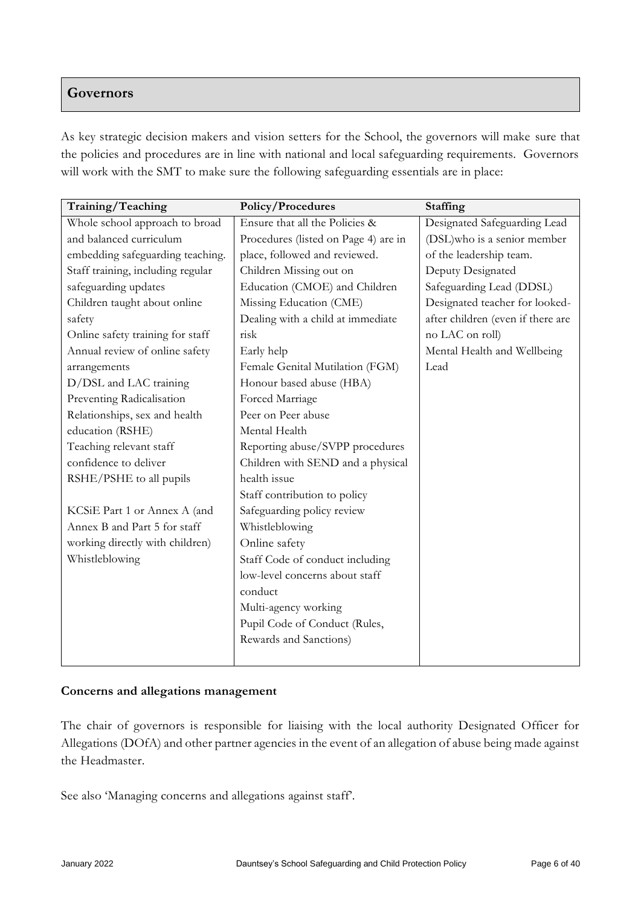# **Governors**

As key strategic decision makers and vision setters for the School, the governors will make sure that the policies and procedures are in line with national and local safeguarding requirements. Governors will work with the SMT to make sure the following safeguarding essentials are in place:

| Training/Teaching                 | Policy/Procedures                    | Staffing                          |
|-----------------------------------|--------------------------------------|-----------------------------------|
| Whole school approach to broad    | Ensure that all the Policies &       | Designated Safeguarding Lead      |
| and balanced curriculum           | Procedures (listed on Page 4) are in | (DSL)who is a senior member       |
| embedding safeguarding teaching.  | place, followed and reviewed.        | of the leadership team.           |
| Staff training, including regular | Children Missing out on              | Deputy Designated                 |
| safeguarding updates              | Education (CMOE) and Children        | Safeguarding Lead (DDSL)          |
| Children taught about online      | Missing Education (CME)              | Designated teacher for looked-    |
| safety                            | Dealing with a child at immediate    | after children (even if there are |
| Online safety training for staff  | risk                                 | no LAC on roll)                   |
| Annual review of online safety    | Early help                           | Mental Health and Wellbeing       |
| arrangements                      | Female Genital Mutilation (FGM)      | Lead                              |
| D/DSL and LAC training            | Honour based abuse (HBA)             |                                   |
| Preventing Radicalisation         | Forced Marriage                      |                                   |
| Relationships, sex and health     | Peer on Peer abuse                   |                                   |
| education (RSHE)                  | Mental Health                        |                                   |
| Teaching relevant staff           | Reporting abuse/SVPP procedures      |                                   |
| confidence to deliver             | Children with SEND and a physical    |                                   |
| RSHE/PSHE to all pupils           | health issue                         |                                   |
|                                   | Staff contribution to policy         |                                   |
| KCSiE Part 1 or Annex A (and      | Safeguarding policy review           |                                   |
| Annex B and Part 5 for staff      | Whistleblowing                       |                                   |
| working directly with children)   | Online safety                        |                                   |
| Whistleblowing                    | Staff Code of conduct including      |                                   |
|                                   | low-level concerns about staff       |                                   |
|                                   | conduct                              |                                   |
|                                   | Multi-agency working                 |                                   |
|                                   | Pupil Code of Conduct (Rules,        |                                   |
|                                   | Rewards and Sanctions)               |                                   |
|                                   |                                      |                                   |

## **Concerns and allegations management**

The chair of governors is responsible for liaising with the local authority Designated Officer for Allegations (DOfA) and other partner agencies in the event of an allegation of abuse being made against the Headmaster.

See also 'Managing concerns and allegations against staff'.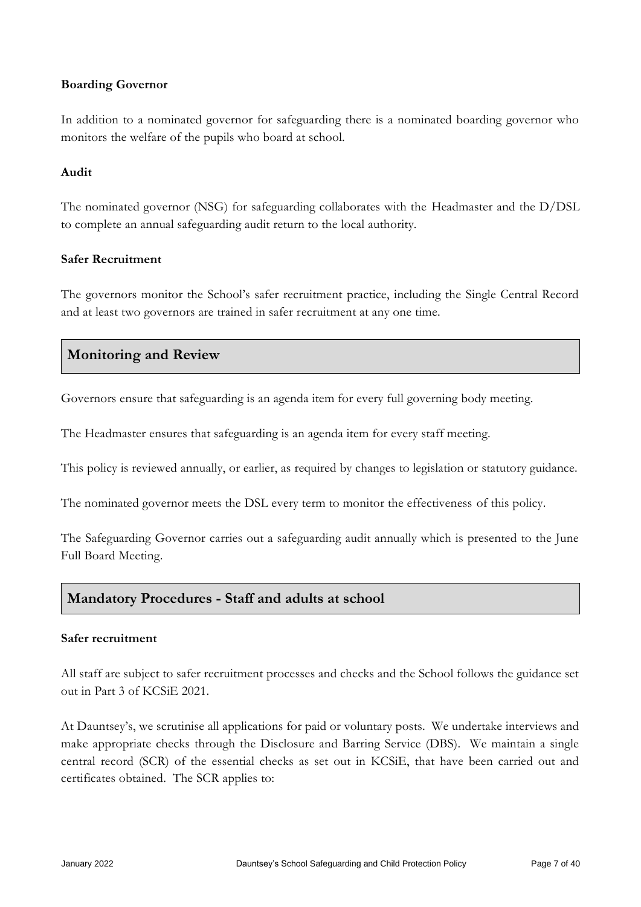#### **Boarding Governor**

In addition to a nominated governor for safeguarding there is a nominated boarding governor who monitors the welfare of the pupils who board at school.

#### **Audit**

The nominated governor (NSG) for safeguarding collaborates with the Headmaster and the D/DSL to complete an annual safeguarding audit return to the local authority.

### **Safer Recruitment**

The governors monitor the School's safer recruitment practice, including the Single Central Record and at least two governors are trained in safer recruitment at any one time.

# **Monitoring and Review**

Governors ensure that safeguarding is an agenda item for every full governing body meeting.

The Headmaster ensures that safeguarding is an agenda item for every staff meeting.

This policy is reviewed annually, or earlier, as required by changes to legislation or statutory guidance.

The nominated governor meets the DSL every term to monitor the effectiveness of this policy.

The Safeguarding Governor carries out a safeguarding audit annually which is presented to the June Full Board Meeting.

# **Mandatory Procedures - Staff and adults at school**

#### **Safer recruitment**

All staff are subject to safer recruitment processes and checks and the School follows the guidance set out in Part 3 of KCSiE 2021.

At Dauntsey's, we scrutinise all applications for paid or voluntary posts. We undertake interviews and make appropriate checks through the Disclosure and Barring Service (DBS). We maintain a single central record (SCR) of the essential checks as set out in KCSiE, that have been carried out and certificates obtained. The SCR applies to: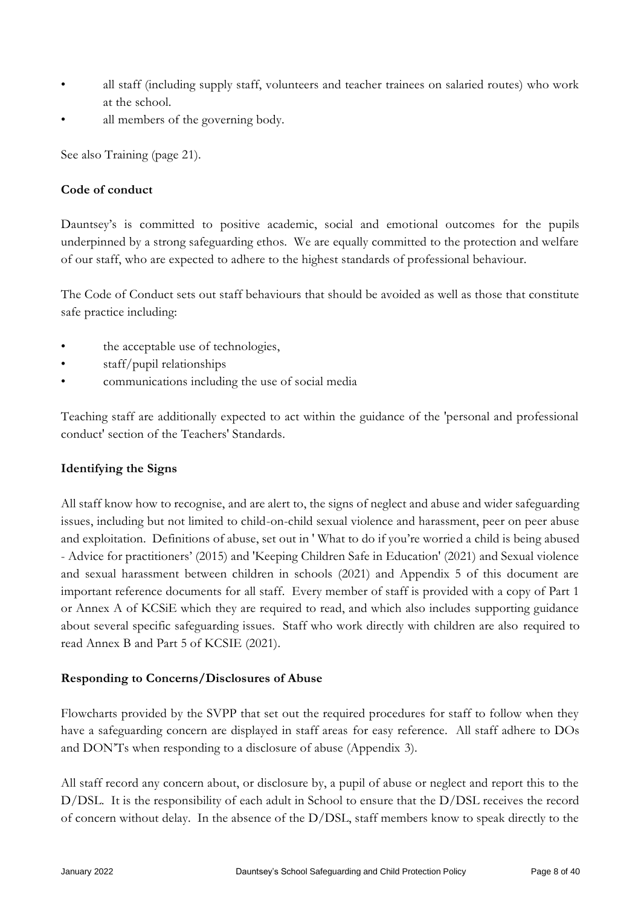- all staff (including supply staff, volunteers and teacher trainees on salaried routes) who work at the school.
- all members of the governing body.

See also Training (page 21).

## **Code of conduct**

Dauntsey's is committed to positive academic, social and emotional outcomes for the pupils underpinned by a strong safeguarding ethos. We are equally committed to the protection and welfare of our staff, who are expected to adhere to the highest standards of professional behaviour.

The Code of Conduct sets out staff behaviours that should be avoided as well as those that constitute safe practice including:

- the acceptable use of technologies,
- staff/pupil relationships
- communications including the use of social media

Teaching staff are additionally expected to act within the guidance of the 'personal and professional conduct' section of the Teachers' Standards.

## **Identifying the Signs**

All staff know how to recognise, and are alert to, the signs of neglect and abuse and wider safeguarding issues, including but not limited to child-on-child sexual violence and harassment, peer on peer abuse and exploitation. Definitions of abuse, set out in ' What to do if you're worried a child is being abused - Advice for practitioners' (2015) and 'Keeping Children Safe in Education' (2021) and Sexual violence and sexual harassment between children in schools (2021) and Appendix 5 of this document are important reference documents for all staff. Every member of staff is provided with a copy of Part 1 or Annex A of KCSiE which they are required to read, and which also includes supporting guidance about several specific safeguarding issues. Staff who work directly with children are also required to read Annex B and Part 5 of KCSIE (2021).

## **Responding to Concerns/Disclosures of Abuse**

Flowcharts provided by the SVPP that set out the required procedures for staff to follow when they have a safeguarding concern are displayed in staff areas for easy reference. All staff adhere to DOs and DON'Ts when responding to a disclosure of abuse (Appendix 3).

All staff record any concern about, or disclosure by, a pupil of abuse or neglect and report this to the D/DSL. It is the responsibility of each adult in School to ensure that the D/DSL receives the record of concern without delay. In the absence of the D/DSL, staff members know to speak directly to the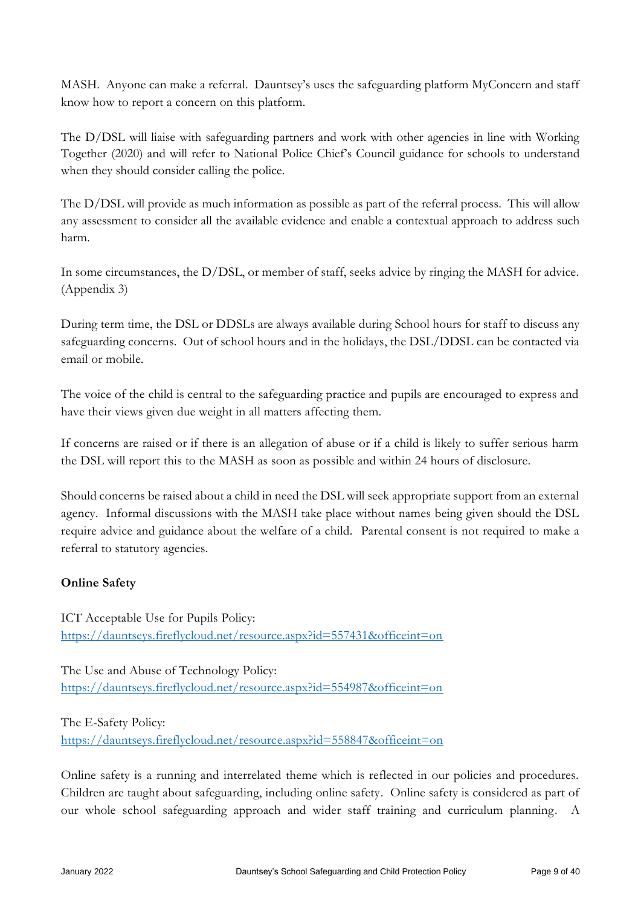MASH. Anyone can make a referral. Dauntsey's uses the safeguarding platform MyConcern and staff know how to report a concern on this platform.

The D/DSL will liaise with safeguarding partners and work with other agencies in line with Working Together (2020) and will refer to National Police Chief's Council guidance for schools to understand when they should consider calling the police.

The D/DSL will provide as much information as possible as part of the referral process. This will allow any assessment to consider all the available evidence and enable a contextual approach to address such harm.

In some circumstances, the D/DSL, or member of staff, seeks advice by ringing the MASH for advice. (Appendix 3)

During term time, the DSL or DDSLs are always available during School hours for staff to discuss any safeguarding concerns. Out of school hours and in the holidays, the DSL/DDSL can be contacted via email or mobile.

The voice of the child is central to the safeguarding practice and pupils are encouraged to express and have their views given due weight in all matters affecting them.

If concerns are raised or if there is an allegation of abuse or if a child is likely to suffer serious harm the DSL will report this to the MASH as soon as possible and within 24 hours of disclosure.

Should concerns be raised about a child in need the DSL will seek appropriate support from an external agency. Informal discussions with the MASH take place without names being given should the DSL require advice and guidance about the welfare of a child. Parental consent is not required to make a referral to statutory agencies.

# **Online Safety**

ICT Acceptable Use for Pupils Policy: <https://dauntseys.fireflycloud.net/resource.aspx?id=557431&officeint=on>

The Use and Abuse of Technology Policy: <https://dauntseys.fireflycloud.net/resource.aspx?id=554987&officeint=on>

The E-Safety Policy: <https://dauntseys.fireflycloud.net/resource.aspx?id=558847&officeint=on>

Online safety is a running and interrelated theme which is reflected in our policies and procedures. Children are taught about safeguarding, including online safety. Online safety is considered as part of our whole school safeguarding approach and wider staff training and curriculum planning. A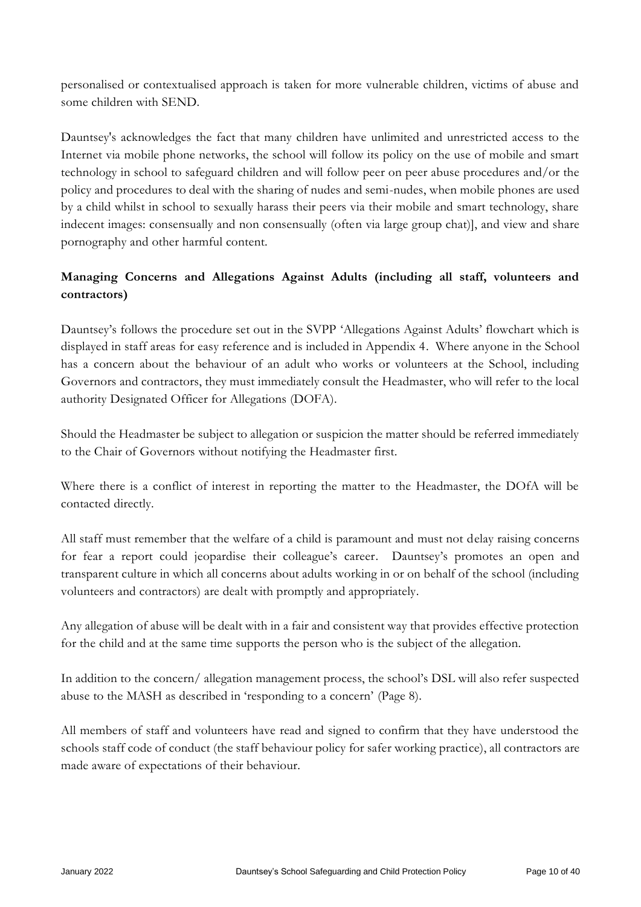personalised or contextualised approach is taken for more vulnerable children, victims of abuse and some children with SEND.

Dauntsey's acknowledges the fact that many children have unlimited and unrestricted access to the Internet via mobile phone networks, the school will follow its policy on the use of mobile and smart technology in school to safeguard children and will follow peer on peer abuse procedures and/or the policy and procedures to deal with the sharing of nudes and semi-nudes, when mobile phones are used by a child whilst in school to sexually harass their peers via their mobile and smart technology, share indecent images: consensually and non consensually (often via large group chat)], and view and share pornography and other harmful content.

# **Managing Concerns and Allegations Against Adults (including all staff, volunteers and contractors)**

Dauntsey's follows the procedure set out in the SVPP 'Allegations Against Adults' flowchart which is displayed in staff areas for easy reference and is included in Appendix 4. Where anyone in the School has a concern about the behaviour of an adult who works or volunteers at the School, including Governors and contractors, they must immediately consult the Headmaster, who will refer to the local authority Designated Officer for Allegations (DOFA).

Should the Headmaster be subject to allegation or suspicion the matter should be referred immediately to the Chair of Governors without notifying the Headmaster first.

Where there is a conflict of interest in reporting the matter to the Headmaster, the DOfA will be contacted directly.

All staff must remember that the welfare of a child is paramount and must not delay raising concerns for fear a report could jeopardise their colleague's career. Dauntsey's promotes an open and transparent culture in which all concerns about adults working in or on behalf of the school (including volunteers and contractors) are dealt with promptly and appropriately.

Any allegation of abuse will be dealt with in a fair and consistent way that provides effective protection for the child and at the same time supports the person who is the subject of the allegation.

In addition to the concern/ allegation management process, the school's DSL will also refer suspected abuse to the MASH as described in 'responding to a concern' (Page 8).

All members of staff and volunteers have read and signed to confirm that they have understood the schools staff code of conduct (the staff behaviour policy for safer working practice), all contractors are made aware of expectations of their behaviour.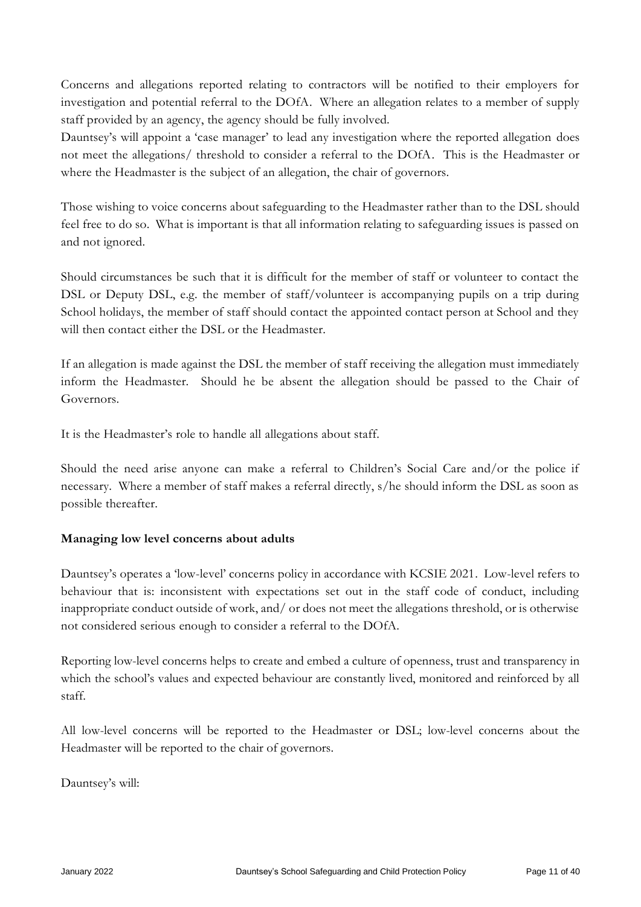Concerns and allegations reported relating to contractors will be notified to their employers for investigation and potential referral to the DOfA. Where an allegation relates to a member of supply staff provided by an agency, the agency should be fully involved.

Dauntsey's will appoint a 'case manager' to lead any investigation where the reported allegation does not meet the allegations/ threshold to consider a referral to the DOfA. This is the Headmaster or where the Headmaster is the subject of an allegation, the chair of governors.

Those wishing to voice concerns about safeguarding to the Headmaster rather than to the DSL should feel free to do so. What is important is that all information relating to safeguarding issues is passed on and not ignored.

Should circumstances be such that it is difficult for the member of staff or volunteer to contact the DSL or Deputy DSL, e.g. the member of staff/volunteer is accompanying pupils on a trip during School holidays, the member of staff should contact the appointed contact person at School and they will then contact either the DSL or the Headmaster.

If an allegation is made against the DSL the member of staff receiving the allegation must immediately inform the Headmaster. Should he be absent the allegation should be passed to the Chair of Governors.

It is the Headmaster's role to handle all allegations about staff.

Should the need arise anyone can make a referral to Children's Social Care and/or the police if necessary. Where a member of staff makes a referral directly, s/he should inform the DSL as soon as possible thereafter.

## **Managing low level concerns about adults**

Dauntsey's operates a 'low-level' concerns policy in accordance with KCSIE 2021. Low-level refers to behaviour that is: inconsistent with expectations set out in the staff code of conduct, including inappropriate conduct outside of work, and/ or does not meet the allegations threshold, or is otherwise not considered serious enough to consider a referral to the DOfA.

Reporting low-level concerns helps to create and embed a culture of openness, trust and transparency in which the school's values and expected behaviour are constantly lived, monitored and reinforced by all staff.

All low-level concerns will be reported to the Headmaster or DSL; low-level concerns about the Headmaster will be reported to the chair of governors.

Dauntsey's will: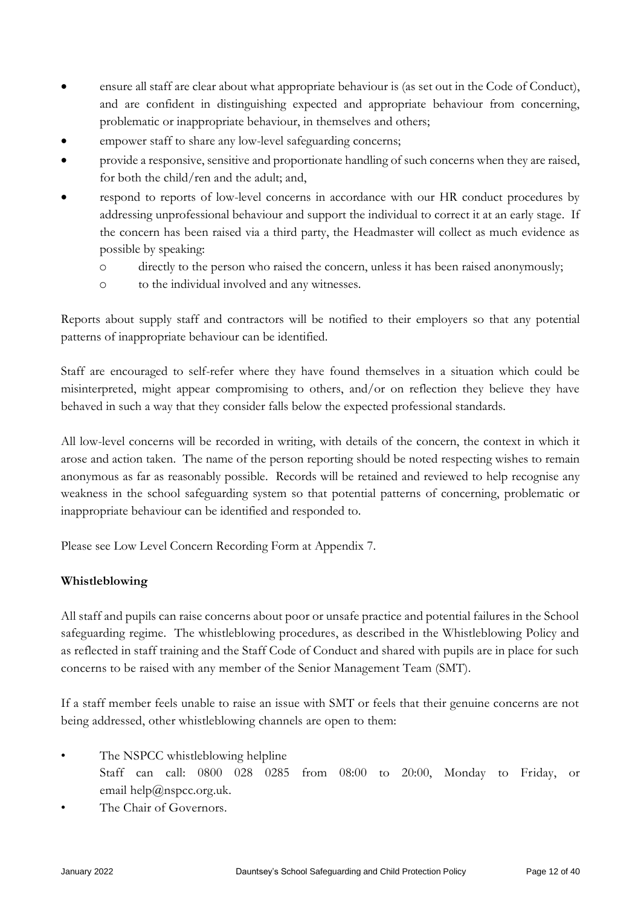- ensure all staff are clear about what appropriate behaviour is (as set out in the Code of Conduct), and are confident in distinguishing expected and appropriate behaviour from concerning, problematic or inappropriate behaviour, in themselves and others;
- empower staff to share any low-level safeguarding concerns;
- provide a responsive, sensitive and proportionate handling of such concerns when they are raised, for both the child/ren and the adult; and,
- respond to reports of low-level concerns in accordance with our HR conduct procedures by addressing unprofessional behaviour and support the individual to correct it at an early stage. If the concern has been raised via a third party, the Headmaster will collect as much evidence as possible by speaking:
	- o directly to the person who raised the concern, unless it has been raised anonymously;
	- o to the individual involved and any witnesses.

Reports about supply staff and contractors will be notified to their employers so that any potential patterns of inappropriate behaviour can be identified.

Staff are encouraged to self-refer where they have found themselves in a situation which could be misinterpreted, might appear compromising to others, and/or on reflection they believe they have behaved in such a way that they consider falls below the expected professional standards.

All low-level concerns will be recorded in writing, with details of the concern, the context in which it arose and action taken. The name of the person reporting should be noted respecting wishes to remain anonymous as far as reasonably possible. Records will be retained and reviewed to help recognise any weakness in the school safeguarding system so that potential patterns of concerning, problematic or inappropriate behaviour can be identified and responded to.

Please see Low Level Concern Recording Form at Appendix 7.

## **Whistleblowing**

All staff and pupils can raise concerns about poor or unsafe practice and potential failures in the School safeguarding regime. The whistleblowing procedures, as described in the Whistleblowing Policy and as reflected in staff training and the Staff Code of Conduct and shared with pupils are in place for such concerns to be raised with any member of the Senior Management Team (SMT).

If a staff member feels unable to raise an issue with SMT or feels that their genuine concerns are not being addressed, other whistleblowing channels are open to them:

- The NSPCC whistleblowing helpline Staff can call: 0800 028 0285 from 08:00 to 20:00, Monday to Friday, or email help@nspcc.org.uk.
- The Chair of Governors.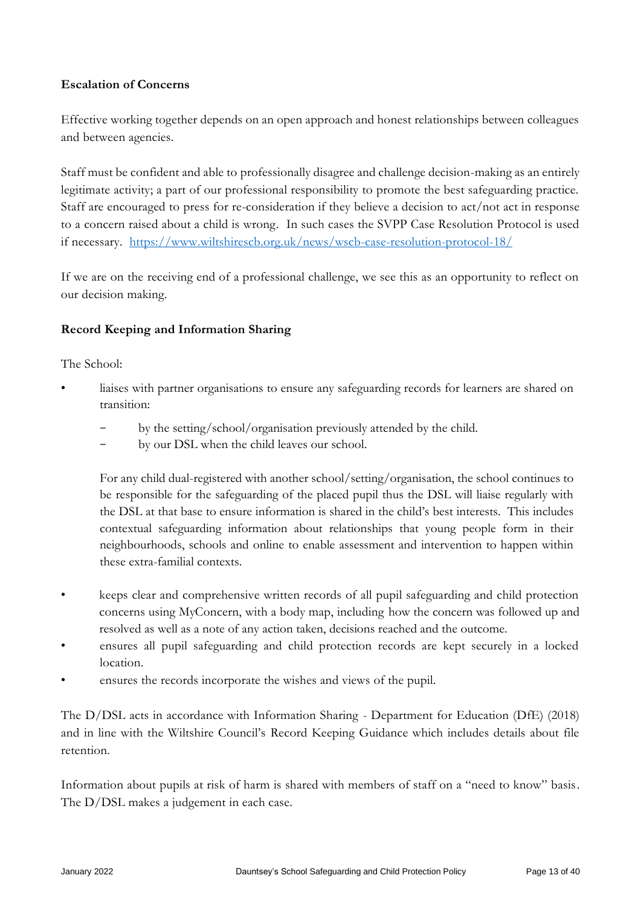## **Escalation of Concerns**

Effective working together depends on an open approach and honest relationships between colleagues and between agencies.

Staff must be confident and able to professionally disagree and challenge decision-making as an entirely legitimate activity; a part of our professional responsibility to promote the best safeguarding practice. Staff are encouraged to press for re-consideration if they believe a decision to act/not act in response to a concern raised about a child is wrong. In such cases the SVPP Case Resolution Protocol is used if necessary. <https://www.wiltshirescb.org.uk/news/wscb-case-resolution-protocol-18/>

If we are on the receiving end of a professional challenge, we see this as an opportunity to reflect on our decision making.

### **Record Keeping and Information Sharing**

The School:

- liaises with partner organisations to ensure any safeguarding records for learners are shared on transition:
	- by the setting/school/organisation previously attended by the child.
	- by our DSL when the child leaves our school.

For any child dual-registered with another school/setting/organisation, the school continues to be responsible for the safeguarding of the placed pupil thus the DSL will liaise regularly with the DSL at that base to ensure information is shared in the child's best interests. This includes contextual safeguarding information about relationships that young people form in their neighbourhoods, schools and online to enable assessment and intervention to happen within these extra-familial contexts.

- keeps clear and comprehensive written records of all pupil safeguarding and child protection concerns using MyConcern, with a body map, including how the concern was followed up and resolved as well as a note of any action taken, decisions reached and the outcome.
- ensures all pupil safeguarding and child protection records are kept securely in a locked location.
- ensures the records incorporate the wishes and views of the pupil.

The D/DSL acts in accordance with Information Sharing - Department for Education (DfE) (2018) and in line with the Wiltshire Council's Record Keeping Guidance which includes details about file retention.

Information about pupils at risk of harm is shared with members of staff on a "need to know" basis. The D/DSL makes a judgement in each case.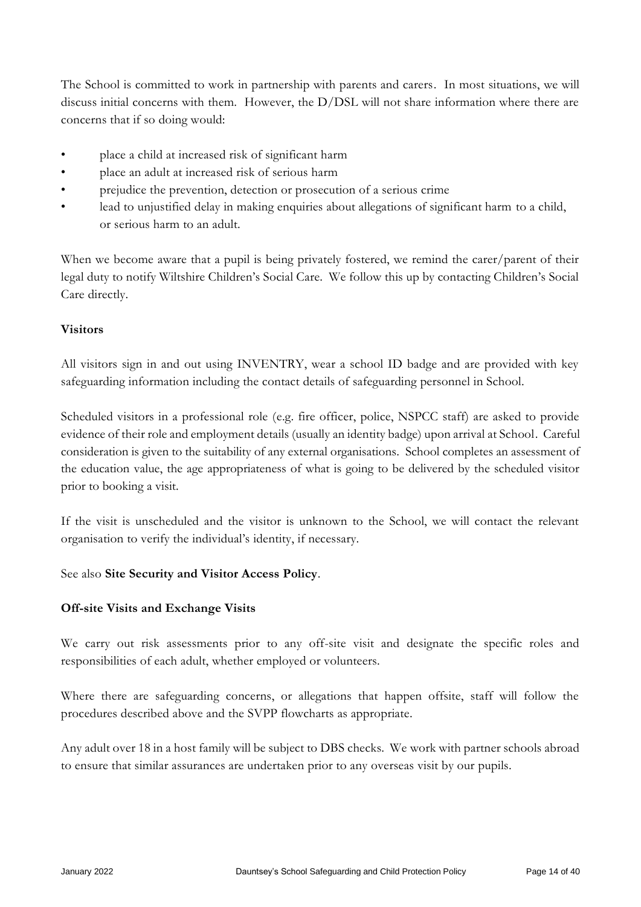The School is committed to work in partnership with parents and carers. In most situations, we will discuss initial concerns with them. However, the D/DSL will not share information where there are concerns that if so doing would:

- place a child at increased risk of significant harm
- place an adult at increased risk of serious harm
- prejudice the prevention, detection or prosecution of a serious crime
- lead to unjustified delay in making enquiries about allegations of significant harm to a child, or serious harm to an adult.

When we become aware that a pupil is being privately fostered, we remind the carer/parent of their legal duty to notify Wiltshire Children's Social Care. We follow this up by contacting Children's Social Care directly.

### **Visitors**

All visitors sign in and out using INVENTRY, wear a school ID badge and are provided with key safeguarding information including the contact details of safeguarding personnel in School.

Scheduled visitors in a professional role (e.g. fire officer, police, NSPCC staff) are asked to provide evidence of their role and employment details (usually an identity badge) upon arrival at School. Careful consideration is given to the suitability of any external organisations. School completes an assessment of the education value, the age appropriateness of what is going to be delivered by the scheduled visitor prior to booking a visit.

If the visit is unscheduled and the visitor is unknown to the School, we will contact the relevant organisation to verify the individual's identity, if necessary.

#### See also **Site Security and Visitor Access Policy**.

#### **Off-site Visits and Exchange Visits**

We carry out risk assessments prior to any off-site visit and designate the specific roles and responsibilities of each adult, whether employed or volunteers.

Where there are safeguarding concerns, or allegations that happen offsite, staff will follow the procedures described above and the SVPP flowcharts as appropriate.

Any adult over 18 in a host family will be subject to DBS checks. We work with partner schools abroad to ensure that similar assurances are undertaken prior to any overseas visit by our pupils.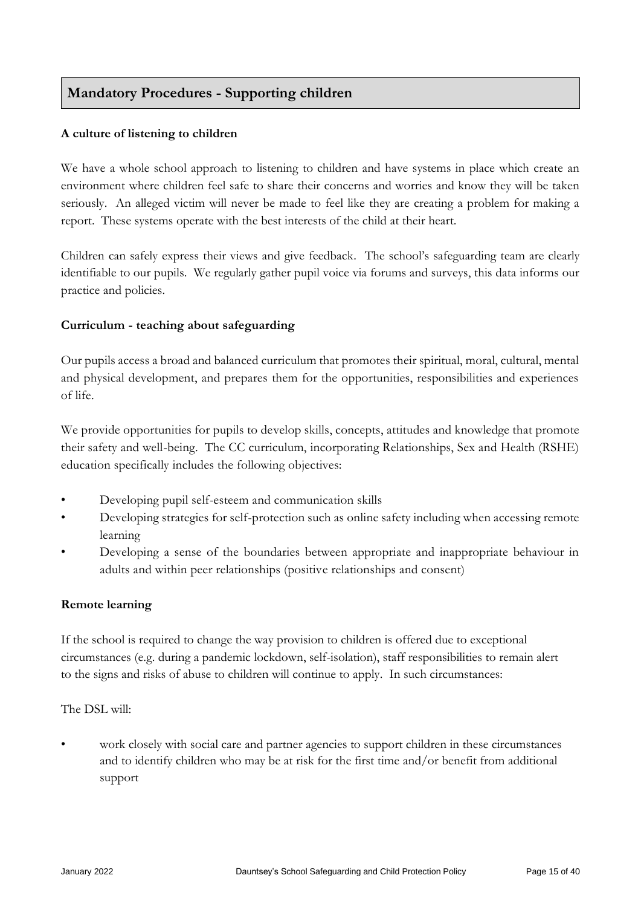# **Mandatory Procedures - Supporting children**

### **A culture of listening to children**

We have a whole school approach to listening to children and have systems in place which create an environment where children feel safe to share their concerns and worries and know they will be taken seriously. An alleged victim will never be made to feel like they are creating a problem for making a report. These systems operate with the best interests of the child at their heart.

Children can safely express their views and give feedback. The school's safeguarding team are clearly identifiable to our pupils. We regularly gather pupil voice via forums and surveys, this data informs our practice and policies.

### **Curriculum - teaching about safeguarding**

Our pupils access a broad and balanced curriculum that promotes their spiritual, moral, cultural, mental and physical development, and prepares them for the opportunities, responsibilities and experiences of life.

We provide opportunities for pupils to develop skills, concepts, attitudes and knowledge that promote their safety and well-being. The CC curriculum, incorporating Relationships, Sex and Health (RSHE) education specifically includes the following objectives:

- Developing pupil self-esteem and communication skills
- Developing strategies for self-protection such as online safety including when accessing remote learning
- Developing a sense of the boundaries between appropriate and inappropriate behaviour in adults and within peer relationships (positive relationships and consent)

## **Remote learning**

If the school is required to change the way provision to children is offered due to exceptional circumstances (e.g. during a pandemic lockdown, self-isolation), staff responsibilities to remain alert to the signs and risks of abuse to children will continue to apply. In such circumstances:

#### The DSL will:

• work closely with social care and partner agencies to support children in these circumstances and to identify children who may be at risk for the first time and/or benefit from additional support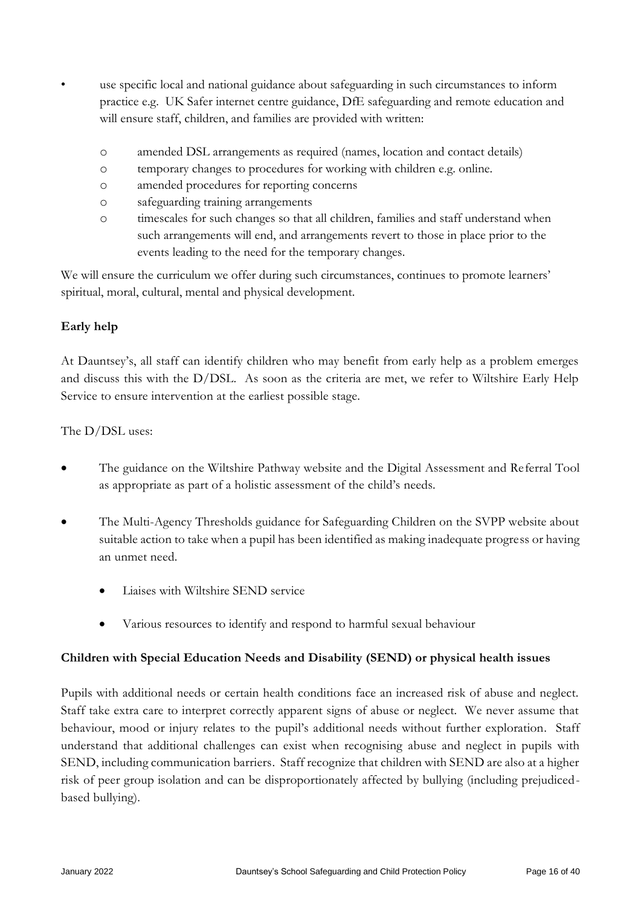- use specific local and national guidance about safeguarding in such circumstances to inform practice e.g. UK Safer internet centre guidance, DfE safeguarding and remote education and will ensure staff, children, and families are provided with written:
	- o amended DSL arrangements as required (names, location and contact details)
	- o temporary changes to procedures for working with children e.g. online.
	- o amended procedures for reporting concerns
	- o safeguarding training arrangements
	- o timescales for such changes so that all children, families and staff understand when such arrangements will end, and arrangements revert to those in place prior to the events leading to the need for the temporary changes.

We will ensure the curriculum we offer during such circumstances, continues to promote learners' spiritual, moral, cultural, mental and physical development.

## **Early help**

At Dauntsey's, all staff can identify children who may benefit from early help as a problem emerges and discuss this with the D/DSL. As soon as the criteria are met, we refer to Wiltshire Early Help Service to ensure intervention at the earliest possible stage.

The D/DSL uses:

- The guidance on the Wiltshire Pathway website and the Digital Assessment and Referral Tool as appropriate as part of a holistic assessment of the child's needs.
- The Multi-Agency Thresholds guidance for Safeguarding Children on the SVPP website about suitable action to take when a pupil has been identified as making inadequate progress or having an unmet need.
	- Liaises with Wiltshire SEND service
	- Various resources to identify and respond to harmful sexual behaviour

#### **Children with Special Education Needs and Disability (SEND) or physical health issues**

Pupils with additional needs or certain health conditions face an increased risk of abuse and neglect. Staff take extra care to interpret correctly apparent signs of abuse or neglect. We never assume that behaviour, mood or injury relates to the pupil's additional needs without further exploration. Staff understand that additional challenges can exist when recognising abuse and neglect in pupils with SEND, including communication barriers. Staff recognize that children with SEND are also at a higher risk of peer group isolation and can be disproportionately affected by bullying (including prejudicedbased bullying).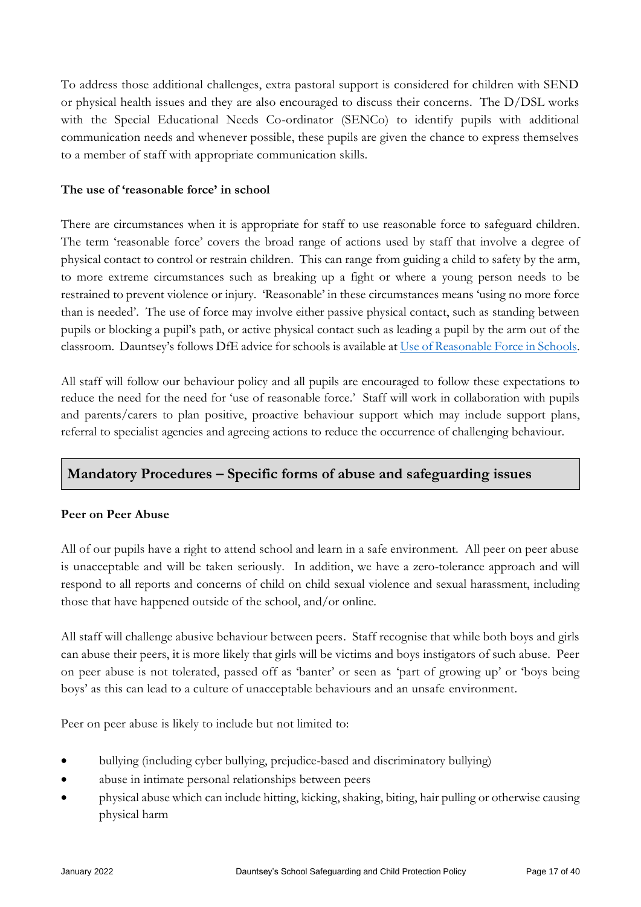To address those additional challenges, extra pastoral support is considered for children with SEND or physical health issues and they are also encouraged to discuss their concerns. The D/DSL works with the Special Educational Needs Co-ordinator (SENCo) to identify pupils with additional communication needs and whenever possible, these pupils are given the chance to express themselves to a member of staff with appropriate communication skills.

### **The use of 'reasonable force' in school**

There are circumstances when it is appropriate for staff to use reasonable force to safeguard children. The term 'reasonable force' covers the broad range of actions used by staff that involve a degree of physical contact to control or restrain children. This can range from guiding a child to safety by the arm, to more extreme circumstances such as breaking up a fight or where a young person needs to be restrained to prevent violence or injury. 'Reasonable' in these circumstances means 'using no more force than is needed'. The use of force may involve either passive physical contact, such as standing between pupils or blocking a pupil's path, or active physical contact such as leading a pupil by the arm out of the classroom. Dauntsey's follows DfE advice for schools is available a[t Use of Reasonable Force in Schools.](https://assets.publishing.service.gov.uk/government/uploads/system/uploads/attachment_data/file/444051/Use_of_reasonable_force_advice_Reviewed_July_2015.pdf)

All staff will follow our behaviour policy and all pupils are encouraged to follow these expectations to reduce the need for the need for 'use of reasonable force.' Staff will work in collaboration with pupils and parents/carers to plan positive, proactive behaviour support which may include support plans, referral to specialist agencies and agreeing actions to reduce the occurrence of challenging behaviour.

# **Mandatory Procedures – Specific forms of abuse and safeguarding issues**

## **Peer on Peer Abuse**

All of our pupils have a right to attend school and learn in a safe environment. All peer on peer abuse is unacceptable and will be taken seriously. In addition, we have a zero-tolerance approach and will respond to all reports and concerns of child on child sexual violence and sexual harassment, including those that have happened outside of the school, and/or online.

All staff will challenge abusive behaviour between peers. Staff recognise that while both boys and girls can abuse their peers, it is more likely that girls will be victims and boys instigators of such abuse. Peer on peer abuse is not tolerated, passed off as 'banter' or seen as 'part of growing up' or 'boys being boys' as this can lead to a culture of unacceptable behaviours and an unsafe environment.

Peer on peer abuse is likely to include but not limited to:

- bullying (including cyber bullying, prejudice-based and discriminatory bullying)
- abuse in intimate personal relationships between peers
- physical abuse which can include hitting, kicking, shaking, biting, hair pulling or otherwise causing physical harm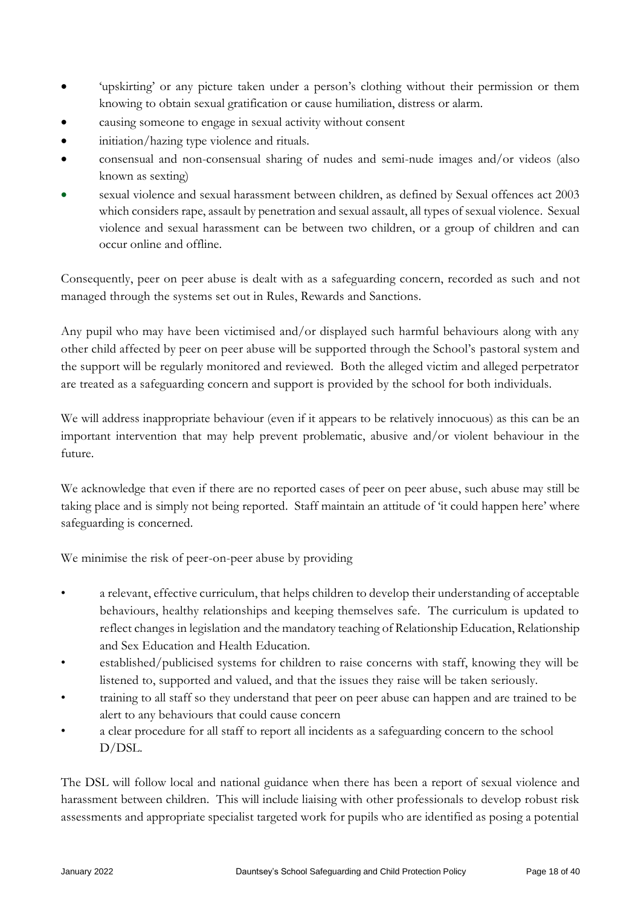- 'upskirting' or any picture taken under a person's clothing without their permission or them knowing to obtain sexual gratification or cause humiliation, distress or alarm.
- causing someone to engage in sexual activity without consent
- initiation/hazing type violence and rituals.
- consensual and non-consensual sharing of nudes and semi-nude images and/or videos (also known as sexting)
- sexual violence and sexual harassment between children, as defined by Sexual offences act 2003 which considers rape, assault by penetration and sexual assault, all types of sexual violence. Sexual violence and sexual harassment can be between two children, or a group of children and can occur online and offline.

Consequently, peer on peer abuse is dealt with as a safeguarding concern, recorded as such and not managed through the systems set out in Rules, Rewards and Sanctions.

Any pupil who may have been victimised and/or displayed such harmful behaviours along with any other child affected by peer on peer abuse will be supported through the School's pastoral system and the support will be regularly monitored and reviewed. Both the alleged victim and alleged perpetrator are treated as a safeguarding concern and support is provided by the school for both individuals.

We will address inappropriate behaviour (even if it appears to be relatively innocuous) as this can be an important intervention that may help prevent problematic, abusive and/or violent behaviour in the future.

We acknowledge that even if there are no reported cases of peer on peer abuse, such abuse may still be taking place and is simply not being reported. Staff maintain an attitude of 'it could happen here' where safeguarding is concerned.

We minimise the risk of peer-on-peer abuse by providing

- a relevant, effective curriculum, that helps children to develop their understanding of acceptable behaviours, healthy relationships and keeping themselves safe. The curriculum is updated to reflect changes in legislation and the mandatory teaching of Relationship Education, Relationship and Sex Education and Health Education.
- established/publicised systems for children to raise concerns with staff, knowing they will be listened to, supported and valued, and that the issues they raise will be taken seriously.
- training to all staff so they understand that peer on peer abuse can happen and are trained to be alert to any behaviours that could cause concern
- a clear procedure for all staff to report all incidents as a safeguarding concern to the school D/DSL.

The DSL will follow local and national guidance when there has been a report of sexual violence and harassment between children. This will include liaising with other professionals to develop robust risk assessments and appropriate specialist targeted work for pupils who are identified as posing a potential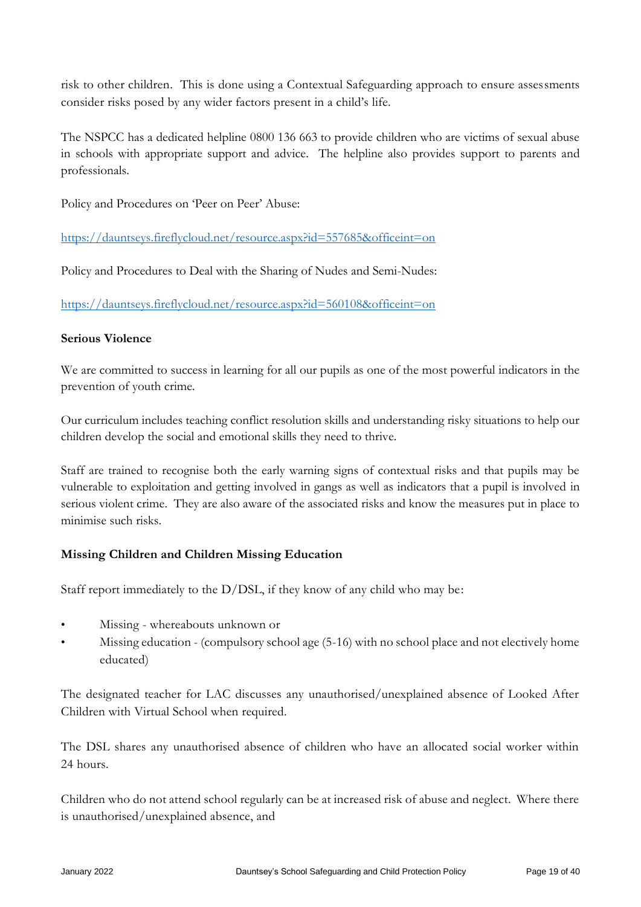risk to other children. This is done using a Contextual Safeguarding approach to ensure assessments consider risks posed by any wider factors present in a child's life.

The NSPCC has a dedicated helpline 0800 136 663 to provide children who are victims of sexual abuse in schools with appropriate support and advice. The helpline also provides support to parents and professionals.

Policy and Procedures on 'Peer on Peer' Abuse:

<https://dauntseys.fireflycloud.net/resource.aspx?id=557685&officeint=on>

Policy and Procedures to Deal with the Sharing of Nudes and Semi-Nudes:

<https://dauntseys.fireflycloud.net/resource.aspx?id=560108&officeint=on>

#### **Serious Violence**

We are committed to success in learning for all our pupils as one of the most powerful indicators in the prevention of youth crime.

Our curriculum includes teaching conflict resolution skills and understanding risky situations to help our children develop the social and emotional skills they need to thrive.

Staff are trained to recognise both the early warning signs of contextual risks and that pupils may be vulnerable to exploitation and getting involved in gangs as well as indicators that a pupil is involved in serious violent crime. They are also aware of the associated risks and know the measures put in place to minimise such risks.

## **Missing Children and Children Missing Education**

Staff report immediately to the D/DSL, if they know of any child who may be:

- Missing whereabouts unknown or
- Missing education (compulsory school age (5-16) with no school place and not electively home educated)

The designated teacher for LAC discusses any unauthorised/unexplained absence of Looked After Children with Virtual School when required.

The DSL shares any unauthorised absence of children who have an allocated social worker within 24 hours.

Children who do not attend school regularly can be at increased risk of abuse and neglect. Where there is unauthorised/unexplained absence, and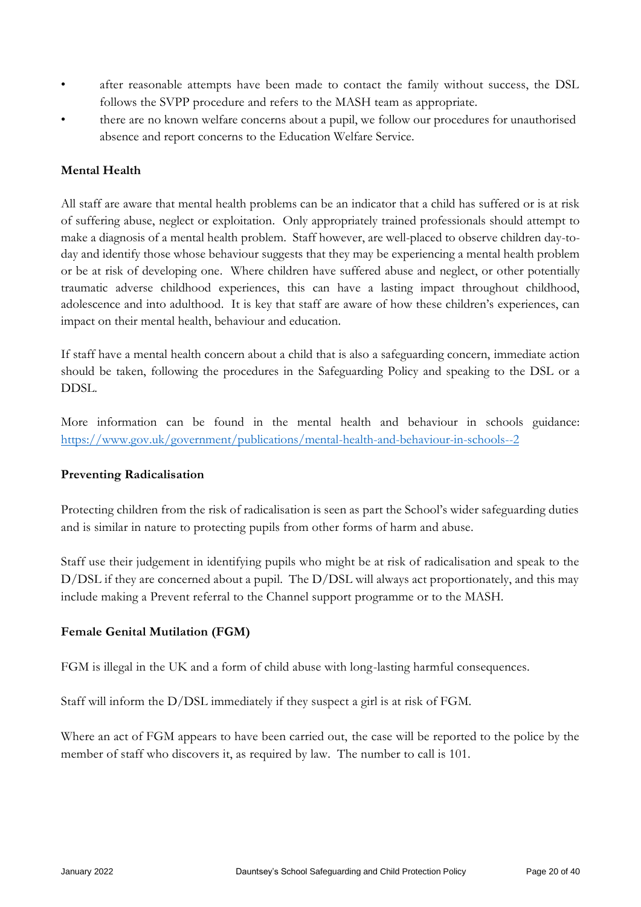- after reasonable attempts have been made to contact the family without success, the DSL follows the SVPP procedure and refers to the MASH team as appropriate.
- there are no known welfare concerns about a pupil, we follow our procedures for unauthorised absence and report concerns to the Education Welfare Service.

# **Mental Health**

All staff are aware that mental health problems can be an indicator that a child has suffered or is at risk of suffering abuse, neglect or exploitation. Only appropriately trained professionals should attempt to make a diagnosis of a mental health problem. Staff however, are well-placed to observe children day-today and identify those whose behaviour suggests that they may be experiencing a mental health problem or be at risk of developing one. Where children have suffered abuse and neglect, or other potentially traumatic adverse childhood experiences, this can have a lasting impact throughout childhood, adolescence and into adulthood. It is key that staff are aware of how these children's experiences, can impact on their mental health, behaviour and education.

If staff have a mental health concern about a child that is also a safeguarding concern, immediate action should be taken, following the procedures in the Safeguarding Policy and speaking to the DSL or a DDSL.

More information can be found in the mental health and behaviour in schools guidance: <https://www.gov.uk/government/publications/mental-health-and-behaviour-in-schools--2>

## **Preventing Radicalisation**

Protecting children from the risk of radicalisation is seen as part the School's wider safeguarding duties and is similar in nature to protecting pupils from other forms of harm and abuse.

Staff use their judgement in identifying pupils who might be at risk of radicalisation and speak to the D/DSL if they are concerned about a pupil. The D/DSL will always act proportionately, and this may include making a Prevent referral to the Channel support programme or to the MASH.

## **Female Genital Mutilation (FGM)**

FGM is illegal in the UK and a form of child abuse with long-lasting harmful consequences.

Staff will inform the D/DSL immediately if they suspect a girl is at risk of FGM.

Where an act of FGM appears to have been carried out, the case will be reported to the police by the member of staff who discovers it, as required by law. The number to call is 101.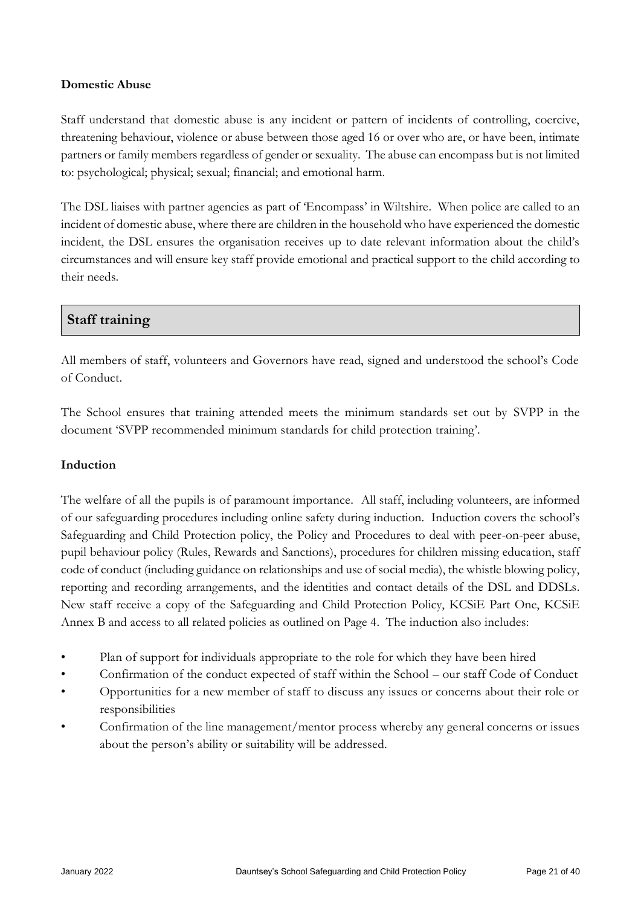#### **Domestic Abuse**

Staff understand that domestic abuse is any incident or pattern of incidents of controlling, coercive, threatening behaviour, violence or abuse between those aged 16 or over who are, or have been, intimate partners or family members regardless of gender or sexuality. The abuse can encompass but is not limited to: psychological; physical; sexual; financial; and emotional harm.

The DSL liaises with partner agencies as part of 'Encompass' in Wiltshire. When police are called to an incident of domestic abuse, where there are children in the household who have experienced the domestic incident, the DSL ensures the organisation receives up to date relevant information about the child's circumstances and will ensure key staff provide emotional and practical support to the child according to their needs.

# **Staff training**

All members of staff, volunteers and Governors have read, signed and understood the school's Code of Conduct.

The School ensures that training attended meets the minimum standards set out by SVPP in the document 'SVPP recommended minimum standards for child protection training'.

## **Induction**

The welfare of all the pupils is of paramount importance. All staff, including volunteers, are informed of our safeguarding procedures including online safety during induction. Induction covers the school's Safeguarding and Child Protection policy, the Policy and Procedures to deal with peer-on-peer abuse, pupil behaviour policy (Rules, Rewards and Sanctions), procedures for children missing education, staff code of conduct (including guidance on relationships and use of social media), the whistle blowing policy, reporting and recording arrangements, and the identities and contact details of the DSL and DDSLs. New staff receive a copy of the Safeguarding and Child Protection Policy, KCSiE Part One, KCSiE Annex B and access to all related policies as outlined on Page 4. The induction also includes:

- Plan of support for individuals appropriate to the role for which they have been hired
- Confirmation of the conduct expected of staff within the School our staff Code of Conduct
- Opportunities for a new member of staff to discuss any issues or concerns about their role or responsibilities
- Confirmation of the line management/mentor process whereby any general concerns or issues about the person's ability or suitability will be addressed.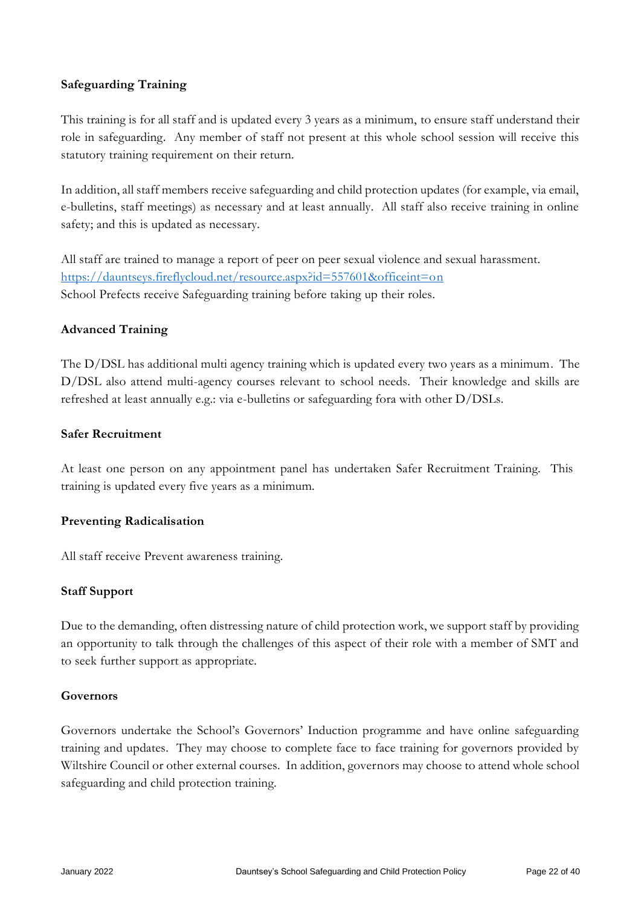### **Safeguarding Training**

This training is for all staff and is updated every 3 years as a minimum, to ensure staff understand their role in safeguarding. Any member of staff not present at this whole school session will receive this statutory training requirement on their return.

In addition, all staff members receive safeguarding and child protection updates (for example, via email, e-bulletins, staff meetings) as necessary and at least annually. All staff also receive training in online safety; and this is updated as necessary.

All staff are trained to manage a report of peer on peer sexual violence and sexual harassment. <https://dauntseys.fireflycloud.net/resource.aspx?id=557601&officeint=on> School Prefects receive Safeguarding training before taking up their roles.

#### **Advanced Training**

The D/DSL has additional multi agency training which is updated every two years as a minimum. The D/DSL also attend multi-agency courses relevant to school needs. Their knowledge and skills are refreshed at least annually e.g.: via e-bulletins or safeguarding fora with other D/DSLs.

### **Safer Recruitment**

At least one person on any appointment panel has undertaken Safer Recruitment Training. This training is updated every five years as a minimum.

#### **Preventing Radicalisation**

All staff receive Prevent awareness training.

#### **Staff Support**

Due to the demanding, often distressing nature of child protection work, we support staff by providing an opportunity to talk through the challenges of this aspect of their role with a member of SMT and to seek further support as appropriate.

#### **Governors**

Governors undertake the School's Governors' Induction programme and have online safeguarding training and updates. They may choose to complete face to face training for governors provided by Wiltshire Council or other external courses. In addition, governors may choose to attend whole school safeguarding and child protection training.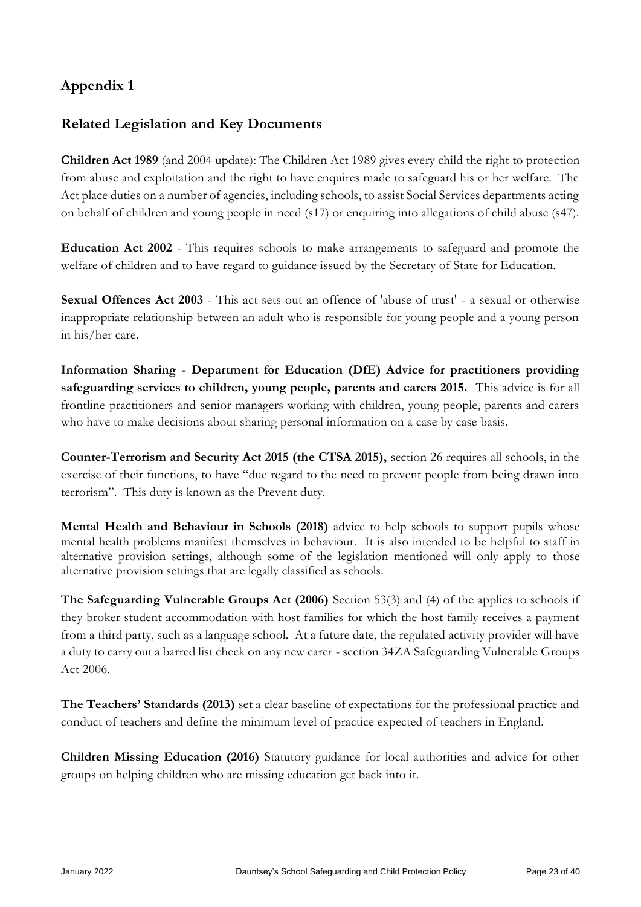# **Appendix 1**

# **Related Legislation and Key Documents**

**Children Act 1989** (and 2004 update): The Children Act 1989 gives every child the right to protection from abuse and exploitation and the right to have enquires made to safeguard his or her welfare. The Act place duties on a number of agencies, including schools, to assist Social Services departments acting on behalf of children and young people in need (s17) or enquiring into allegations of child abuse (s47).

**Education Act 2002** - This requires schools to make arrangements to safeguard and promote the welfare of children and to have regard to guidance issued by the Secretary of State for Education.

**Sexual Offences Act 2003** - This act sets out an offence of 'abuse of trust' - a sexual or otherwise inappropriate relationship between an adult who is responsible for young people and a young person in his/her care.

**Information Sharing - Department for Education (DfE) Advice for practitioners providing safeguarding services to children, young people, parents and carers 2015.** This advice is for all frontline practitioners and senior managers working with children, young people, parents and carers who have to make decisions about sharing personal information on a case by case basis.

**Counter-Terrorism and Security Act 2015 (the CTSA 2015),** section 26 requires all schools, in the exercise of their functions, to have "due regard to the need to prevent people from being drawn into terrorism". This duty is known as the Prevent duty.

**Mental Health and Behaviour in Schools (2018)** advice to help schools to support pupils whose mental health problems manifest themselves in behaviour. It is also intended to be helpful to staff in alternative provision settings, although some of the legislation mentioned will only apply to those alternative provision settings that are legally classified as schools.

**The Safeguarding Vulnerable Groups Act (2006)** Section 53(3) and (4) of the applies to schools if they broker student accommodation with host families for which the host family receives a payment from a third party, such as a language school. At a future date, the regulated activity provider will have a duty to carry out a barred list check on any new carer - section 34ZA Safeguarding Vulnerable Groups Act 2006.

**The Teachers' Standards (2013)** set a clear baseline of expectations for the professional practice and conduct of teachers and define the minimum level of practice expected of teachers in England.

**Children Missing Education (2016)** Statutory guidance for local authorities and advice for other groups on helping children who are missing education get back into it.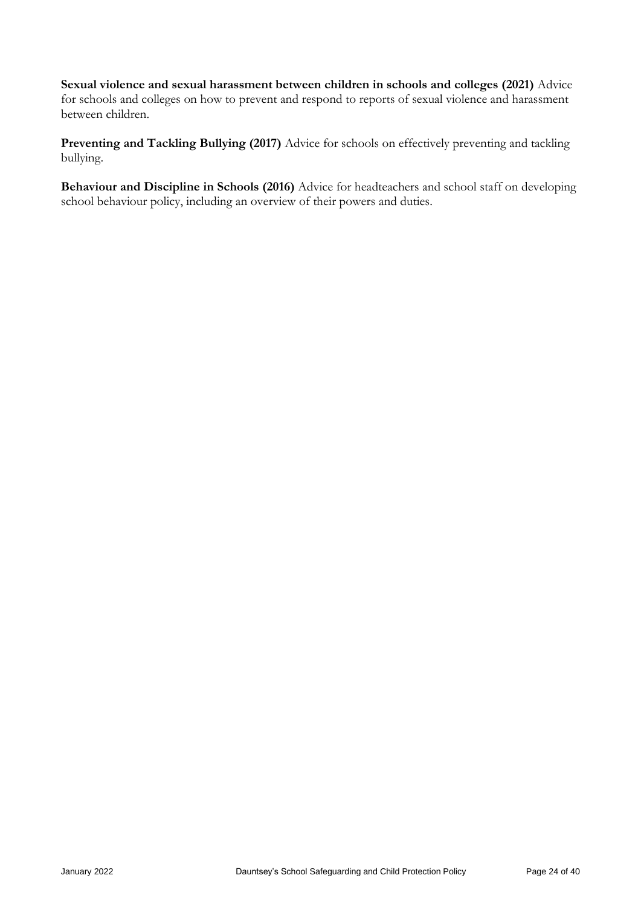**Sexual violence and sexual harassment between children in schools and colleges (2021)** Advice for schools and colleges on how to prevent and respond to reports of sexual violence and harassment between children.

**Preventing and Tackling Bullying (2017)** Advice for schools on effectively preventing and tackling bullying.

**Behaviour and Discipline in Schools (2016)** Advice for headteachers and school staff on developing school behaviour policy, including an overview of their powers and duties.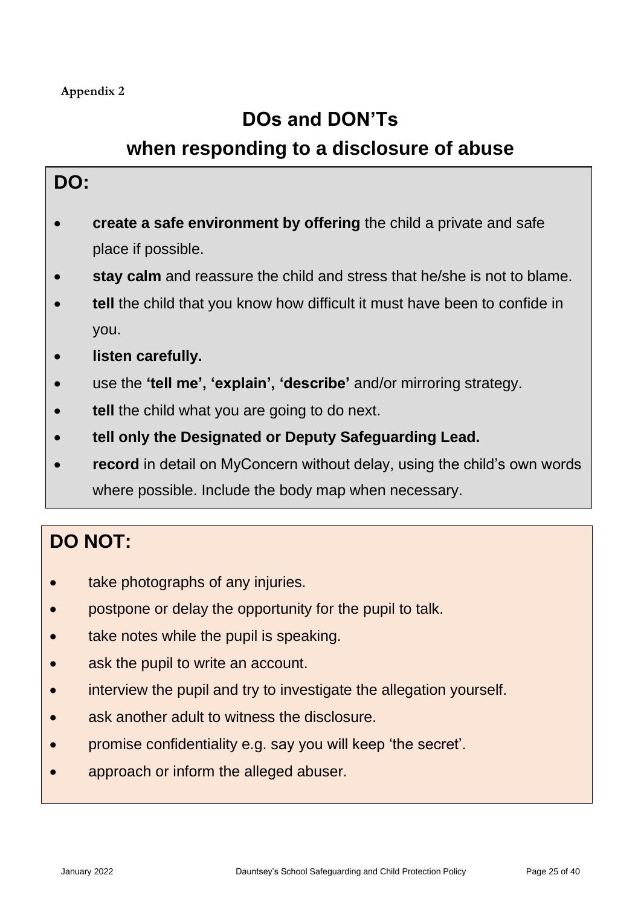# **DOs and DON'Ts**

# **when responding to a disclosure of abuse**

# **DO:**

- **create a safe environment by offering** the child a private and safe place if possible.
- **stay calm** and reassure the child and stress that he/she is not to blame.
- **tell** the child that you know how difficult it must have been to confide in you.
- **listen carefully.**
- use the **'tell me', 'explain', 'describe'** and/or mirroring strategy.
- **tell** the child what you are going to do next.
- **tell only the Designated or Deputy Safeguarding Lead.**
- **record** in detail on MyConcern without delay, using the child's own words where possible. Include the body map when necessary.

# **DO NOT:**

- take photographs of any injuries.
- postpone or delay the opportunity for the pupil to talk.
- take notes while the pupil is speaking.
- ask the pupil to write an account.
- interview the pupil and try to investigate the allegation yourself.
- ask another adult to witness the disclosure.
- promise confidentiality e.g. say you will keep 'the secret'.
- approach or inform the alleged abuser.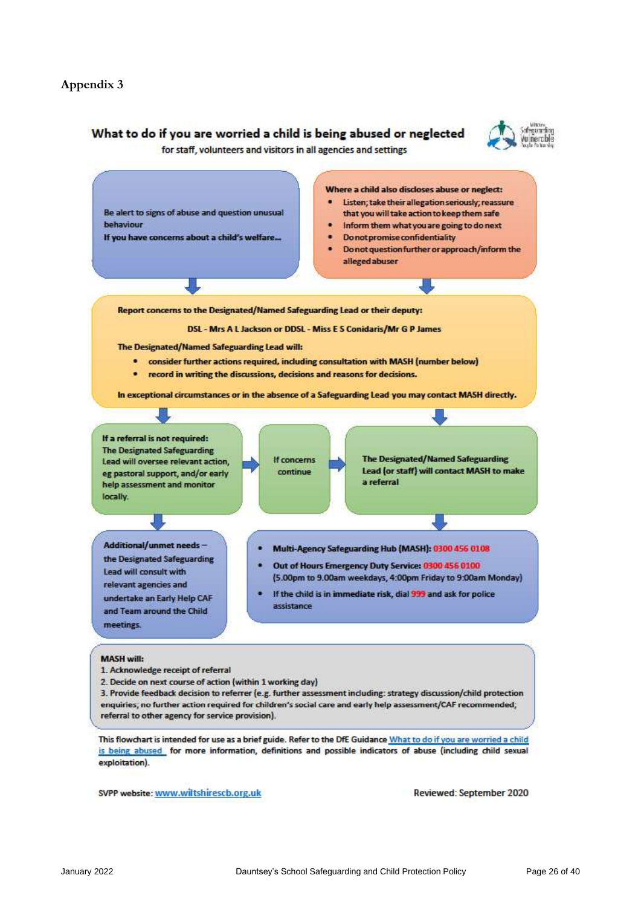#### What to do if you are worried a child is being abused or neglected



for staff, volunteers and visitors in all agencies and settings



3. Provide feedback decision to referrer (e.g. further assessment including: strategy discussion/child protection enquiries; no further action required for children's social care and early help assessment/CAF recommended; referral to other agency for service provision).

This flowchart is intended for use as a brief guide. Refer to the DfE Guidance What to do if you are worried a child is being abused for more information, definitions and possible indicators of abuse (including child sexual exploitation).

SVPP website: www.wiltshirescb.org.uk

Reviewed: September 2020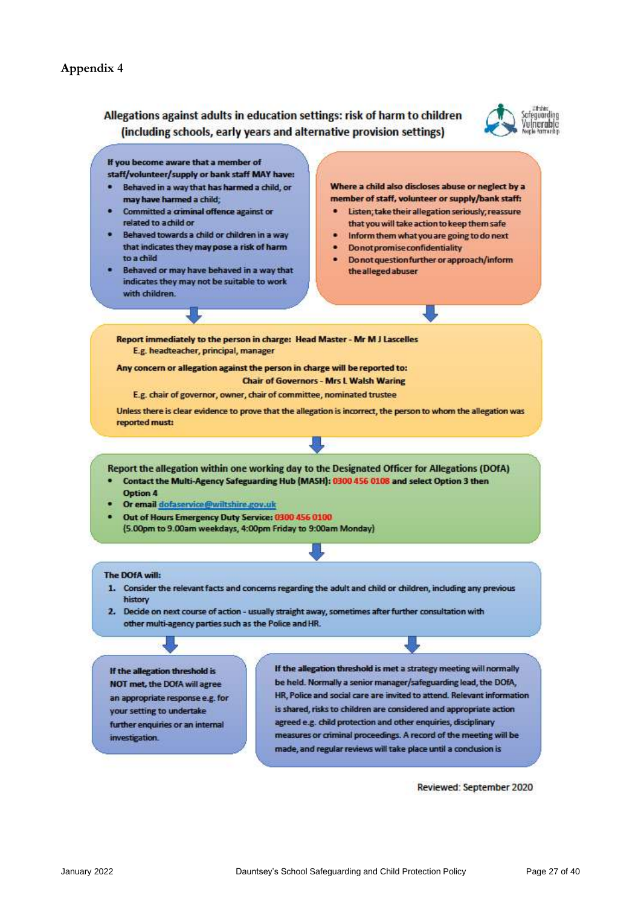#### **Appendix 4**

### Allegations against adults in education settings: risk of harm to children (including schools, early years and alternative provision settings)



If you become aware that a member of staff/volunteer/supply or bank staff MAY have:

- Behaved in a way that has harmed a child, or may have harmed a child:
- Committed a criminal offence against or related to achild or
- Behaved towards a child or children in a way that indicates they may pose a risk of harm to a child
- Behaved or may have behaved in a way that indicates they may not be suitable to work with children

Where a child also discloses abuse or neglect by a member of staff, volunteer or supply/bank staff:

- Listen; take their allegation seriously; reassure that you will take action to keep them safe
- Inform them what you are going to do next
- **Donot promise confidentiality**
- Do not question further or approach/inform the alleged abuser

Report immediately to the person in charge: Head Master - Mr M J Lascelles E.g. headteacher, principal, manager

Any concern or allegation against the person in charge will be reported to: **Chair of Governors - Mrs L Walsh Waring** 

E.g. chair of governor, owner, chair of committee, nominated trustee

Unless there is clear evidence to prove that the allegation is incorrect, the person to whom the allegation was reported must:

Report the allegation within one working day to the Designated Officer for Allegations (DOfA)

- Contact the Multi-Agency Safeguarding Hub (MASH): 0300 456 0108 and select Option 3 then
- Option 4 Or email dofaservice@wiltshire.gov.uk
- Out of Hours Emergency Duty Service: 0300 456 0100 (5.00pm to 9.00am weekdays, 4:00pm Friday to 9:00am Monday)

#### The DOfA will:

- 1. Consider the relevant facts and concerns regarding the adult and child or children, including any previous history
- 2. Decide on next course of action usually straight away, sometimes after further consultation with other multi-agency parties such as the Police and HR.

If the allegation threshold is NOT met, the DOfA will agree an appropriate response e.g. for your setting to undertake further enquiries or an internal investigation.

If the allegation threshold is met a strategy meeting will normally be held. Normally a senior manager/safeguarding lead, the DOfA, HR, Police and social care are invited to attend. Relevant information is shared, risks to children are considered and appropriate action agreed e.g. child protection and other enquiries, disciplinary measures or criminal proceedings. A record of the meeting will be made, and regular reviews will take place until a conclusion is

Reviewed: September 2020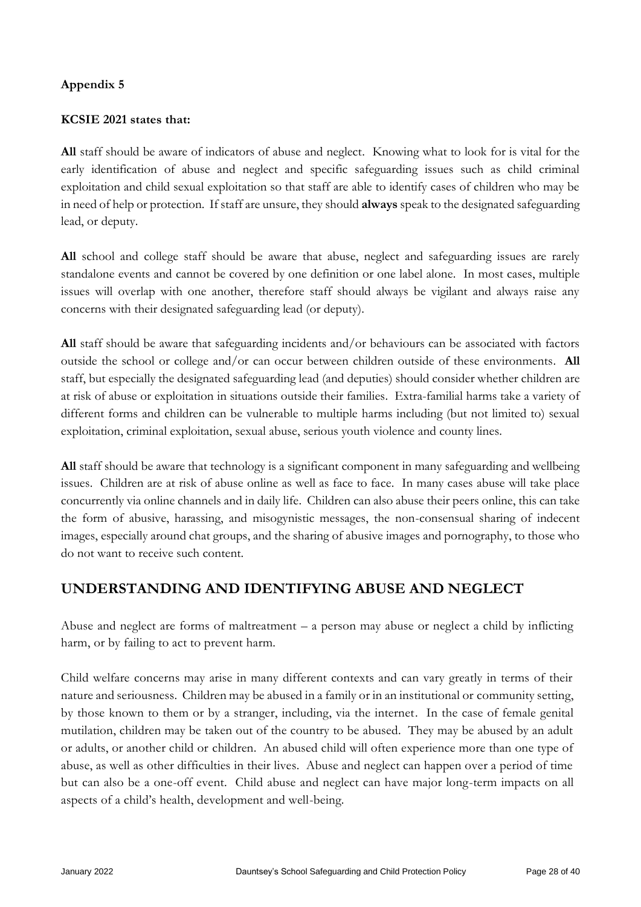# **Appendix 5**

### **KCSIE 2021 states that:**

**All** staff should be aware of indicators of abuse and neglect. Knowing what to look for is vital for the early identification of abuse and neglect and specific safeguarding issues such as child criminal exploitation and child sexual exploitation so that staff are able to identify cases of children who may be in need of help or protection. If staff are unsure, they should **always** speak to the designated safeguarding lead, or deputy.

**All** school and college staff should be aware that abuse, neglect and safeguarding issues are rarely standalone events and cannot be covered by one definition or one label alone. In most cases, multiple issues will overlap with one another, therefore staff should always be vigilant and always raise any concerns with their designated safeguarding lead (or deputy).

**All** staff should be aware that safeguarding incidents and/or behaviours can be associated with factors outside the school or college and/or can occur between children outside of these environments. **All**  staff, but especially the designated safeguarding lead (and deputies) should consider whether children are at risk of abuse or exploitation in situations outside their families. Extra-familial harms take a variety of different forms and children can be vulnerable to multiple harms including (but not limited to) sexual exploitation, criminal exploitation, sexual abuse, serious youth violence and county lines.

**All** staff should be aware that technology is a significant component in many safeguarding and wellbeing issues. Children are at risk of abuse online as well as face to face. In many cases abuse will take place concurrently via online channels and in daily life. Children can also abuse their peers online, this can take the form of abusive, harassing, and misogynistic messages, the non-consensual sharing of indecent images, especially around chat groups, and the sharing of abusive images and pornography, to those who do not want to receive such content.

# **UNDERSTANDING AND IDENTIFYING ABUSE AND NEGLECT**

Abuse and neglect are forms of maltreatment – a person may abuse or neglect a child by inflicting harm, or by failing to act to prevent harm.

Child welfare concerns may arise in many different contexts and can vary greatly in terms of their nature and seriousness. Children may be abused in a family or in an institutional or community setting, by those known to them or by a stranger, including, via the internet. In the case of female genital mutilation, children may be taken out of the country to be abused. They may be abused by an adult or adults, or another child or children. An abused child will often experience more than one type of abuse, as well as other difficulties in their lives. Abuse and neglect can happen over a period of time but can also be a one-off event. Child abuse and neglect can have major long-term impacts on all aspects of a child's health, development and well-being.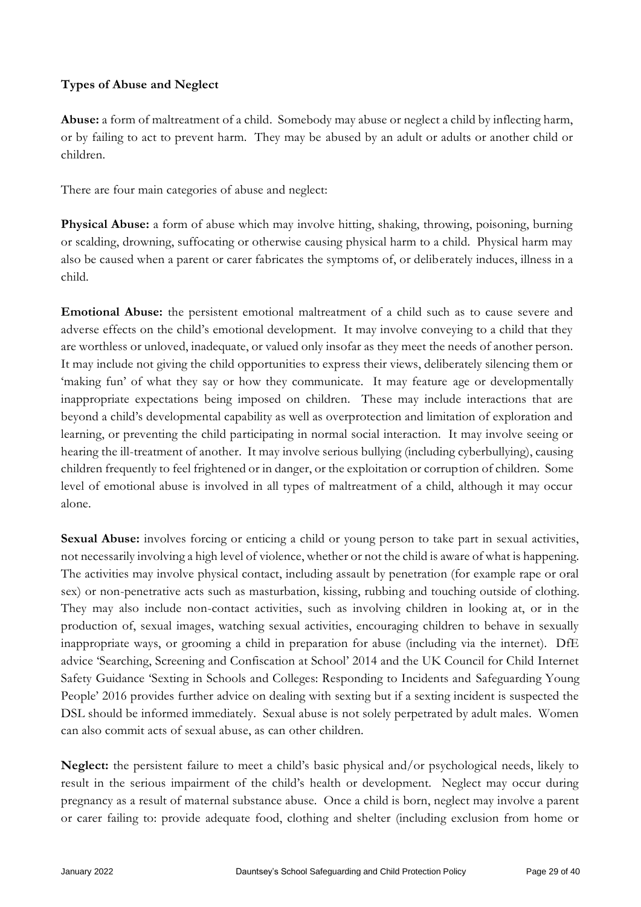# **Types of Abuse and Neglect**

**Abuse:** a form of maltreatment of a child. Somebody may abuse or neglect a child by inflecting harm, or by failing to act to prevent harm. They may be abused by an adult or adults or another child or children.

There are four main categories of abuse and neglect:

**Physical Abuse:** a form of abuse which may involve hitting, shaking, throwing, poisoning, burning or scalding, drowning, suffocating or otherwise causing physical harm to a child. Physical harm may also be caused when a parent or carer fabricates the symptoms of, or deliberately induces, illness in a child.

**Emotional Abuse:** the persistent emotional maltreatment of a child such as to cause severe and adverse effects on the child's emotional development. It may involve conveying to a child that they are worthless or unloved, inadequate, or valued only insofar as they meet the needs of another person. It may include not giving the child opportunities to express their views, deliberately silencing them or 'making fun' of what they say or how they communicate. It may feature age or developmentally inappropriate expectations being imposed on children. These may include interactions that are beyond a child's developmental capability as well as overprotection and limitation of exploration and learning, or preventing the child participating in normal social interaction. It may involve seeing or hearing the ill-treatment of another. It may involve serious bullying (including cyberbullying), causing children frequently to feel frightened or in danger, or the exploitation or corruption of children. Some level of emotional abuse is involved in all types of maltreatment of a child, although it may occur alone.

Sexual Abuse: involves forcing or enticing a child or young person to take part in sexual activities, not necessarily involving a high level of violence, whether or not the child is aware of what is happening. The activities may involve physical contact, including assault by penetration (for example rape or oral sex) or non-penetrative acts such as masturbation, kissing, rubbing and touching outside of clothing. They may also include non-contact activities, such as involving children in looking at, or in the production of, sexual images, watching sexual activities, encouraging children to behave in sexually inappropriate ways, or grooming a child in preparation for abuse (including via the internet). DfE advice 'Searching, Screening and Confiscation at School' 2014 and the UK Council for Child Internet Safety Guidance 'Sexting in Schools and Colleges: Responding to Incidents and Safeguarding Young People' 2016 provides further advice on dealing with sexting but if a sexting incident is suspected the DSL should be informed immediately. Sexual abuse is not solely perpetrated by adult males. Women can also commit acts of sexual abuse, as can other children.

**Neglect:** the persistent failure to meet a child's basic physical and/or psychological needs, likely to result in the serious impairment of the child's health or development. Neglect may occur during pregnancy as a result of maternal substance abuse. Once a child is born, neglect may involve a parent or carer failing to: provide adequate food, clothing and shelter (including exclusion from home or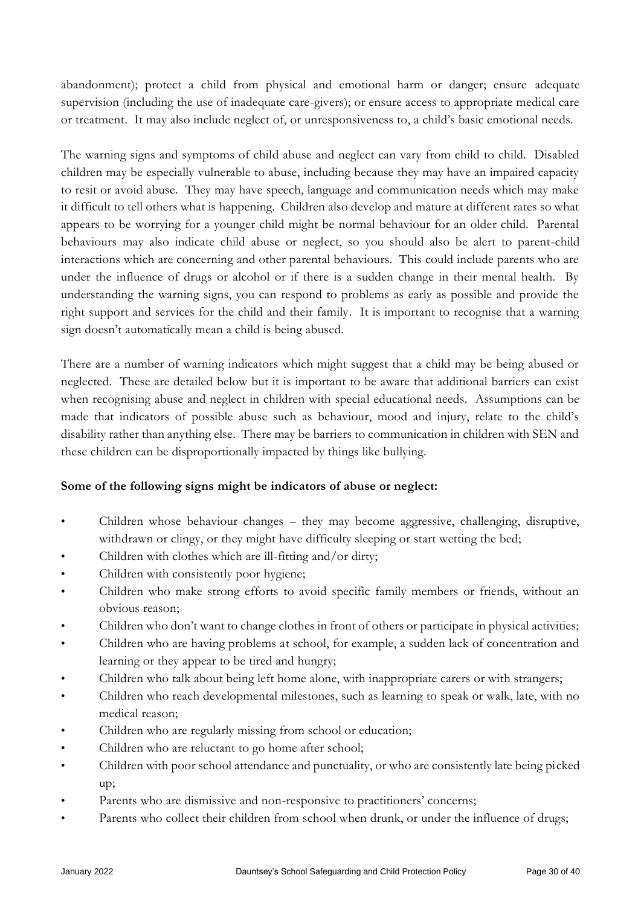abandonment); protect a child from physical and emotional harm or danger; ensure adequate supervision (including the use of inadequate care-givers); or ensure access to appropriate medical care or treatment. It may also include neglect of, or unresponsiveness to, a child's basic emotional needs.

The warning signs and symptoms of child abuse and neglect can vary from child to child. Disabled children may be especially vulnerable to abuse, including because they may have an impaired capacity to resit or avoid abuse. They may have speech, language and communication needs which may make it difficult to tell others what is happening. Children also develop and mature at different rates so what appears to be worrying for a younger child might be normal behaviour for an older child. Parental behaviours may also indicate child abuse or neglect, so you should also be alert to parent-child interactions which are concerning and other parental behaviours. This could include parents who are under the influence of drugs or alcohol or if there is a sudden change in their mental health. By understanding the warning signs, you can respond to problems as early as possible and provide the right support and services for the child and their family. It is important to recognise that a warning sign doesn't automatically mean a child is being abused.

There are a number of warning indicators which might suggest that a child may be being abused or neglected. These are detailed below but it is important to be aware that additional barriers can exist when recognising abuse and neglect in children with special educational needs. Assumptions can be made that indicators of possible abuse such as behaviour, mood and injury, relate to the child's disability rather than anything else. There may be barriers to communication in children with SEN and these children can be disproportionally impacted by things like bullying.

## **Some of the following signs might be indicators of abuse or neglect:**

- Children whose behaviour changes they may become aggressive, challenging, disruptive, withdrawn or clingy, or they might have difficulty sleeping or start wetting the bed;
- Children with clothes which are ill-fitting and/or dirty;
- Children with consistently poor hygiene;
- Children who make strong efforts to avoid specific family members or friends, without an obvious reason;
- Children who don't want to change clothes in front of others or participate in physical activities;
- Children who are having problems at school, for example, a sudden lack of concentration and learning or they appear to be tired and hungry;
- Children who talk about being left home alone, with inappropriate carers or with strangers;
- Children who reach developmental milestones, such as learning to speak or walk, late, with no medical reason;
- Children who are regularly missing from school or education;
- Children who are reluctant to go home after school;
- Children with poor school attendance and punctuality, or who are consistently late being picked up;
- Parents who are dismissive and non-responsive to practitioners' concerns;
- Parents who collect their children from school when drunk, or under the influence of drugs;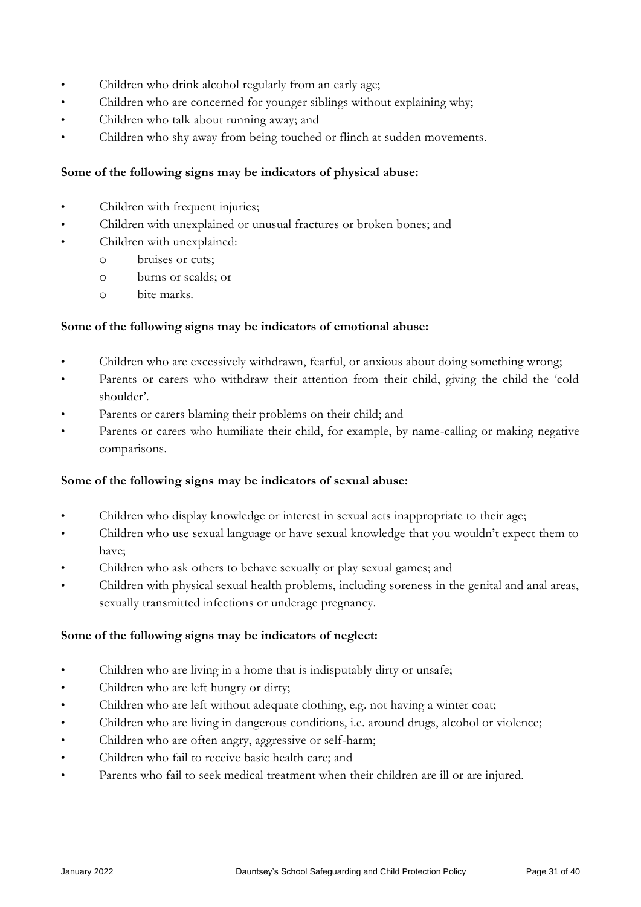- Children who drink alcohol regularly from an early age;
- Children who are concerned for younger siblings without explaining why;
- Children who talk about running away; and
- Children who shy away from being touched or flinch at sudden movements.

#### **Some of the following signs may be indicators of physical abuse:**

- Children with frequent injuries;
- Children with unexplained or unusual fractures or broken bones; and
	- Children with unexplained:
		- o bruises or cuts;
		- o burns or scalds; or
		- o bite marks.

#### **Some of the following signs may be indicators of emotional abuse:**

- Children who are excessively withdrawn, fearful, or anxious about doing something wrong;
- Parents or carers who withdraw their attention from their child, giving the child the 'cold shoulder'.
- Parents or carers blaming their problems on their child; and
- Parents or carers who humiliate their child, for example, by name-calling or making negative comparisons.

#### **Some of the following signs may be indicators of sexual abuse:**

- Children who display knowledge or interest in sexual acts inappropriate to their age;
- Children who use sexual language or have sexual knowledge that you wouldn't expect them to have;
- Children who ask others to behave sexually or play sexual games; and
- Children with physical sexual health problems, including soreness in the genital and anal areas, sexually transmitted infections or underage pregnancy.

#### **Some of the following signs may be indicators of neglect:**

- Children who are living in a home that is indisputably dirty or unsafe;
- Children who are left hungry or dirty;
- Children who are left without adequate clothing, e.g. not having a winter coat;
- Children who are living in dangerous conditions, i.e. around drugs, alcohol or violence;
- Children who are often angry, aggressive or self-harm;
- Children who fail to receive basic health care; and
- Parents who fail to seek medical treatment when their children are ill or are injured.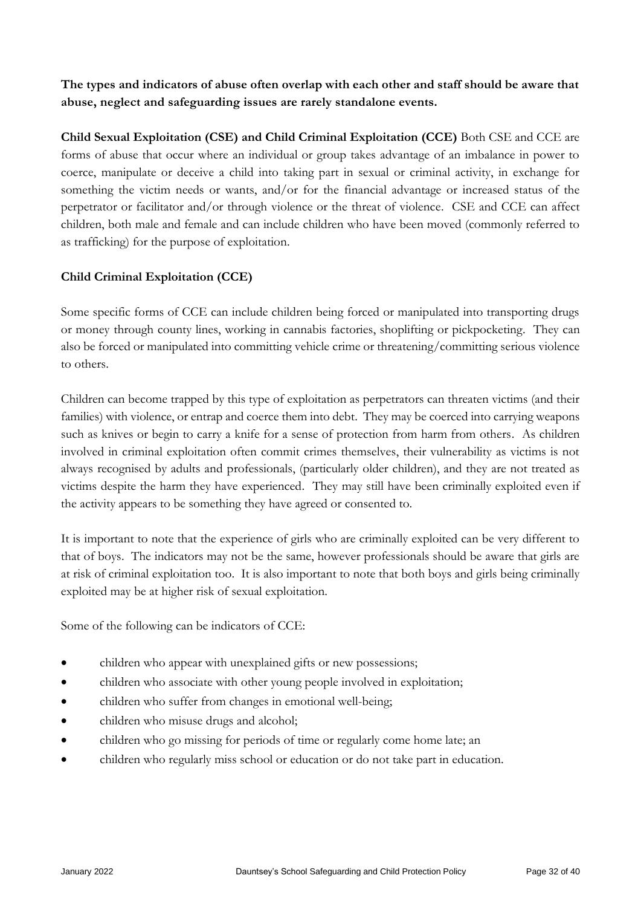**The types and indicators of abuse often overlap with each other and staff should be aware that abuse, neglect and safeguarding issues are rarely standalone events.**

**Child Sexual Exploitation (CSE) and Child Criminal Exploitation (CCE)** Both CSE and CCE are forms of abuse that occur where an individual or group takes advantage of an imbalance in power to coerce, manipulate or deceive a child into taking part in sexual or criminal activity, in exchange for something the victim needs or wants, and/or for the financial advantage or increased status of the perpetrator or facilitator and/or through violence or the threat of violence. CSE and CCE can affect children, both male and female and can include children who have been moved (commonly referred to as trafficking) for the purpose of exploitation.

# **Child Criminal Exploitation (CCE)**

Some specific forms of CCE can include children being forced or manipulated into transporting drugs or money through county lines, working in cannabis factories, shoplifting or pickpocketing. They can also be forced or manipulated into committing vehicle crime or threatening/committing serious violence to others.

Children can become trapped by this type of exploitation as perpetrators can threaten victims (and their families) with violence, or entrap and coerce them into debt. They may be coerced into carrying weapons such as knives or begin to carry a knife for a sense of protection from harm from others. As children involved in criminal exploitation often commit crimes themselves, their vulnerability as victims is not always recognised by adults and professionals, (particularly older children), and they are not treated as victims despite the harm they have experienced. They may still have been criminally exploited even if the activity appears to be something they have agreed or consented to.

It is important to note that the experience of girls who are criminally exploited can be very different to that of boys. The indicators may not be the same, however professionals should be aware that girls are at risk of criminal exploitation too. It is also important to note that both boys and girls being criminally exploited may be at higher risk of sexual exploitation.

Some of the following can be indicators of CCE:

- children who appear with unexplained gifts or new possessions;
- children who associate with other young people involved in exploitation;
- children who suffer from changes in emotional well-being;
- children who misuse drugs and alcohol;
- children who go missing for periods of time or regularly come home late; an
- children who regularly miss school or education or do not take part in education.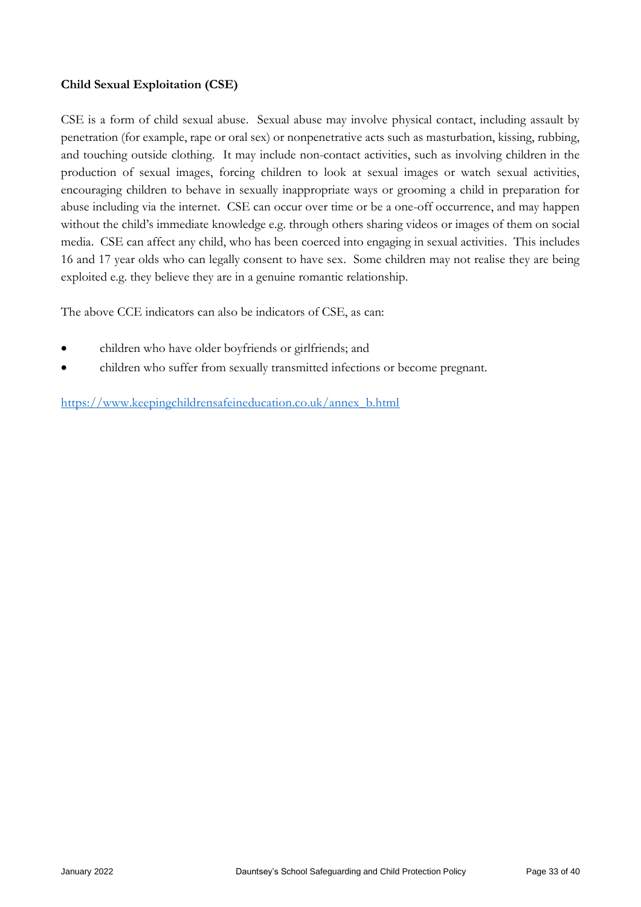## **Child Sexual Exploitation (CSE)**

CSE is a form of child sexual abuse. Sexual abuse may involve physical contact, including assault by penetration (for example, rape or oral sex) or nonpenetrative acts such as masturbation, kissing, rubbing, and touching outside clothing. It may include non-contact activities, such as involving children in the production of sexual images, forcing children to look at sexual images or watch sexual activities, encouraging children to behave in sexually inappropriate ways or grooming a child in preparation for abuse including via the internet. CSE can occur over time or be a one-off occurrence, and may happen without the child's immediate knowledge e.g. through others sharing videos or images of them on social media. CSE can affect any child, who has been coerced into engaging in sexual activities. This includes 16 and 17 year olds who can legally consent to have sex. Some children may not realise they are being exploited e.g. they believe they are in a genuine romantic relationship.

The above CCE indicators can also be indicators of CSE, as can:

- children who have older boyfriends or girlfriends; and
- children who suffer from sexually transmitted infections or become pregnant.

[https://www.keepingchildrensafeineducation.co.uk/annex\\_b.html](https://www.keepingchildrensafeineducation.co.uk/annex_b.html)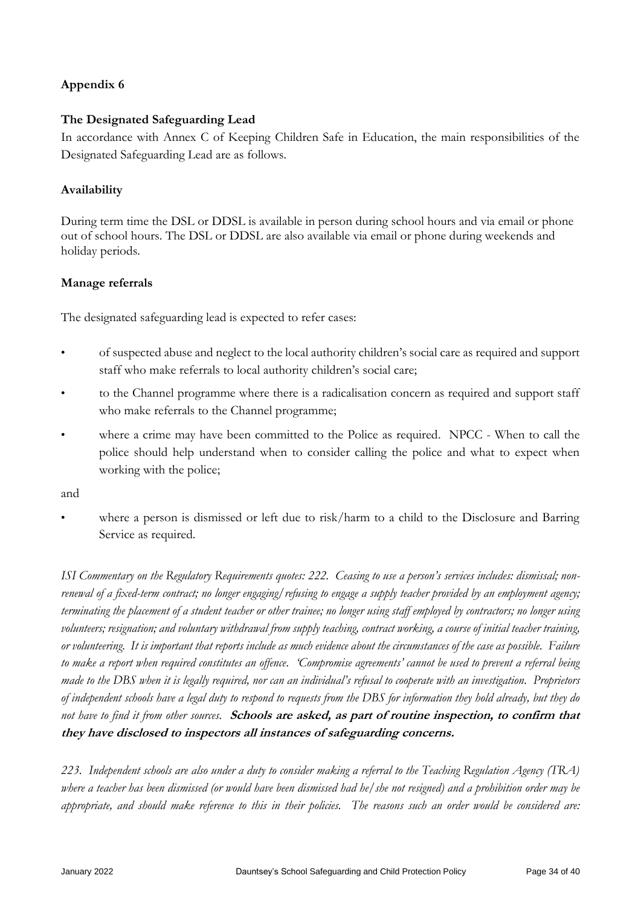# **Appendix 6**

### **The Designated Safeguarding Lead**

In accordance with Annex C of Keeping Children Safe in Education, the main responsibilities of the Designated Safeguarding Lead are as follows.

#### **Availability**

During term time the DSL or DDSL is available in person during school hours and via email or phone out of school hours. The DSL or DDSL are also available via email or phone during weekends and holiday periods.

#### **Manage referrals**

The designated safeguarding lead is expected to refer cases:

- of suspected abuse and neglect to the local authority children's social care as required and support staff who make referrals to local authority children's social care;
- to the Channel programme where there is a radicalisation concern as required and support staff who make referrals to the Channel programme;
- where a crime may have been committed to the Police as required. NPCC When to call the police should help understand when to consider calling the police and what to expect when working with the police;

and

where a person is dismissed or left due to risk/harm to a child to the Disclosure and Barring Service as required.

*ISI Commentary on the Regulatory Requirements quotes: 222. Ceasing to use a person's services includes: dismissal; nonrenewal of a fixed-term contract; no longer engaging/refusing to engage a supply teacher provided by an employment agency; terminating the placement of a student teacher or other trainee; no longer using staff employed by contractors; no longer using volunteers; resignation; and voluntary withdrawal from supply teaching, contract working, a course of initial teacher training, or volunteering. It is important that reports include as much evidence about the circumstances of the case as possible. Failure to make a report when required constitutes an offence. 'Compromise agreements' cannot be used to prevent a referral being made to the DBS when it is legally required, nor can an individual's refusal to cooperate with an investigation. Proprietors of independent schools have a legal duty to respond to requests from the DBS for information they hold already, but they do not have to find it from other sources.* **Schools are asked, as part of routine inspection, to confirm that they have disclosed to inspectors all instances of safeguarding concerns.** 

*223. Independent schools are also under a duty to consider making a referral to the Teaching Regulation Agency (TRA) where a teacher has been dismissed (or would have been dismissed had he/she not resigned) and a prohibition order may be appropriate, and should make reference to this in their policies. The reasons such an order would be considered are:*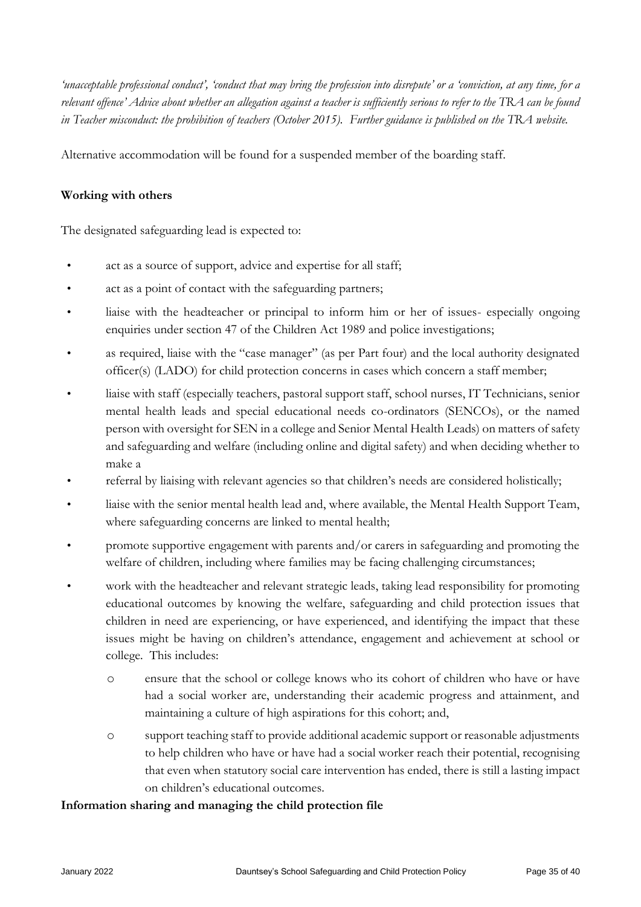*'unacceptable professional conduct', 'conduct that may bring the profession into disrepute' or a 'conviction, at any time, for a relevant offence' Advice about whether an allegation against a teacher is sufficiently serious to refer to the TRA can be found in Teacher misconduct: the prohibition of teachers (October 2015). Further guidance is published on the TRA website.* 

Alternative accommodation will be found for a suspended member of the boarding staff.

### **Working with others**

The designated safeguarding lead is expected to:

- act as a source of support, advice and expertise for all staff;
- act as a point of contact with the safeguarding partners;
- liaise with the headteacher or principal to inform him or her of issues- especially ongoing enquiries under section 47 of the Children Act 1989 and police investigations;
- as required, liaise with the "case manager" (as per Part four) and the local authority designated officer(s) (LADO) for child protection concerns in cases which concern a staff member;
- liaise with staff (especially teachers, pastoral support staff, school nurses, IT Technicians, senior mental health leads and special educational needs co-ordinators (SENCOs), or the named person with oversight for SEN in a college and Senior Mental Health Leads) on matters of safety and safeguarding and welfare (including online and digital safety) and when deciding whether to make a
- referral by liaising with relevant agencies so that children's needs are considered holistically;
- liaise with the senior mental health lead and, where available, the Mental Health Support Team, where safeguarding concerns are linked to mental health;
- promote supportive engagement with parents and/or carers in safeguarding and promoting the welfare of children, including where families may be facing challenging circumstances;
- work with the headteacher and relevant strategic leads, taking lead responsibility for promoting educational outcomes by knowing the welfare, safeguarding and child protection issues that children in need are experiencing, or have experienced, and identifying the impact that these issues might be having on children's attendance, engagement and achievement at school or college. This includes:
	- o ensure that the school or college knows who its cohort of children who have or have had a social worker are, understanding their academic progress and attainment, and maintaining a culture of high aspirations for this cohort; and,
	- o support teaching staff to provide additional academic support or reasonable adjustments to help children who have or have had a social worker reach their potential, recognising that even when statutory social care intervention has ended, there is still a lasting impact on children's educational outcomes.

#### **Information sharing and managing the child protection file**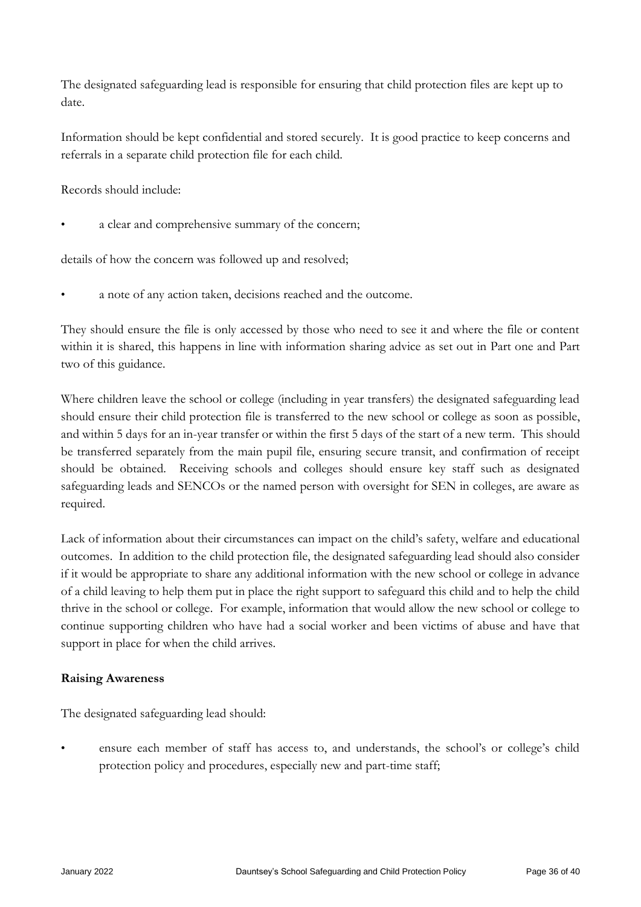The designated safeguarding lead is responsible for ensuring that child protection files are kept up to date.

Information should be kept confidential and stored securely. It is good practice to keep concerns and referrals in a separate child protection file for each child.

Records should include:

a clear and comprehensive summary of the concern;

details of how the concern was followed up and resolved;

a note of any action taken, decisions reached and the outcome.

They should ensure the file is only accessed by those who need to see it and where the file or content within it is shared, this happens in line with information sharing advice as set out in Part one and Part two of this guidance.

Where children leave the school or college (including in year transfers) the designated safeguarding lead should ensure their child protection file is transferred to the new school or college as soon as possible, and within 5 days for an in-year transfer or within the first 5 days of the start of a new term. This should be transferred separately from the main pupil file, ensuring secure transit, and confirmation of receipt should be obtained. Receiving schools and colleges should ensure key staff such as designated safeguarding leads and SENCOs or the named person with oversight for SEN in colleges, are aware as required.

Lack of information about their circumstances can impact on the child's safety, welfare and educational outcomes. In addition to the child protection file, the designated safeguarding lead should also consider if it would be appropriate to share any additional information with the new school or college in advance of a child leaving to help them put in place the right support to safeguard this child and to help the child thrive in the school or college. For example, information that would allow the new school or college to continue supporting children who have had a social worker and been victims of abuse and have that support in place for when the child arrives.

## **Raising Awareness**

The designated safeguarding lead should:

• ensure each member of staff has access to, and understands, the school's or college's child protection policy and procedures, especially new and part-time staff;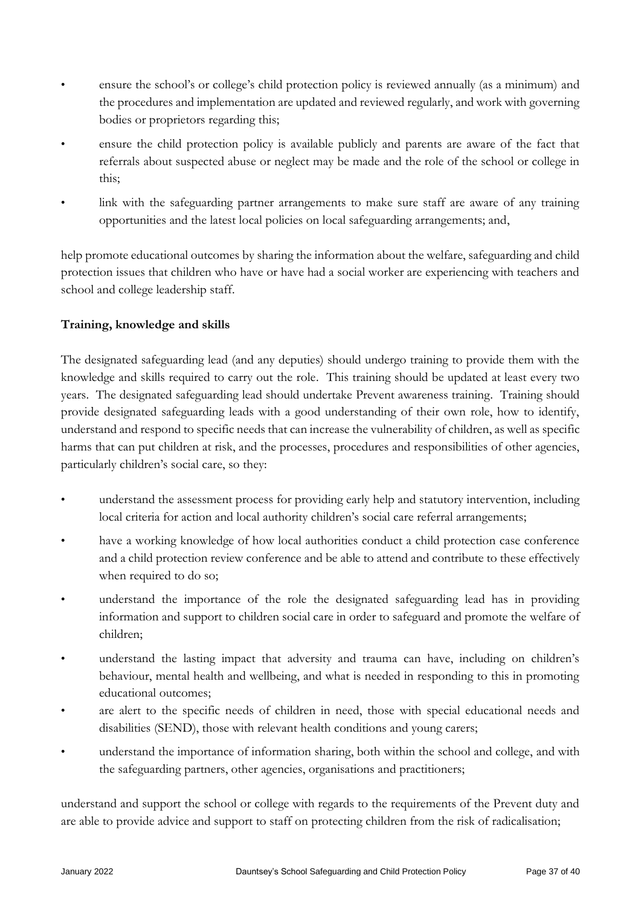- ensure the school's or college's child protection policy is reviewed annually (as a minimum) and the procedures and implementation are updated and reviewed regularly, and work with governing bodies or proprietors regarding this;
- ensure the child protection policy is available publicly and parents are aware of the fact that referrals about suspected abuse or neglect may be made and the role of the school or college in this;
- link with the safeguarding partner arrangements to make sure staff are aware of any training opportunities and the latest local policies on local safeguarding arrangements; and,

help promote educational outcomes by sharing the information about the welfare, safeguarding and child protection issues that children who have or have had a social worker are experiencing with teachers and school and college leadership staff.

# **Training, knowledge and skills**

The designated safeguarding lead (and any deputies) should undergo training to provide them with the knowledge and skills required to carry out the role. This training should be updated at least every two years. The designated safeguarding lead should undertake Prevent awareness training. Training should provide designated safeguarding leads with a good understanding of their own role, how to identify, understand and respond to specific needs that can increase the vulnerability of children, as well as specific harms that can put children at risk, and the processes, procedures and responsibilities of other agencies, particularly children's social care, so they:

- understand the assessment process for providing early help and statutory intervention, including local criteria for action and local authority children's social care referral arrangements;
- have a working knowledge of how local authorities conduct a child protection case conference and a child protection review conference and be able to attend and contribute to these effectively when required to do so;
- understand the importance of the role the designated safeguarding lead has in providing information and support to children social care in order to safeguard and promote the welfare of children;
- understand the lasting impact that adversity and trauma can have, including on children's behaviour, mental health and wellbeing, and what is needed in responding to this in promoting educational outcomes;
- are alert to the specific needs of children in need, those with special educational needs and disabilities (SEND), those with relevant health conditions and young carers;
- understand the importance of information sharing, both within the school and college, and with the safeguarding partners, other agencies, organisations and practitioners;

understand and support the school or college with regards to the requirements of the Prevent duty and are able to provide advice and support to staff on protecting children from the risk of radicalisation;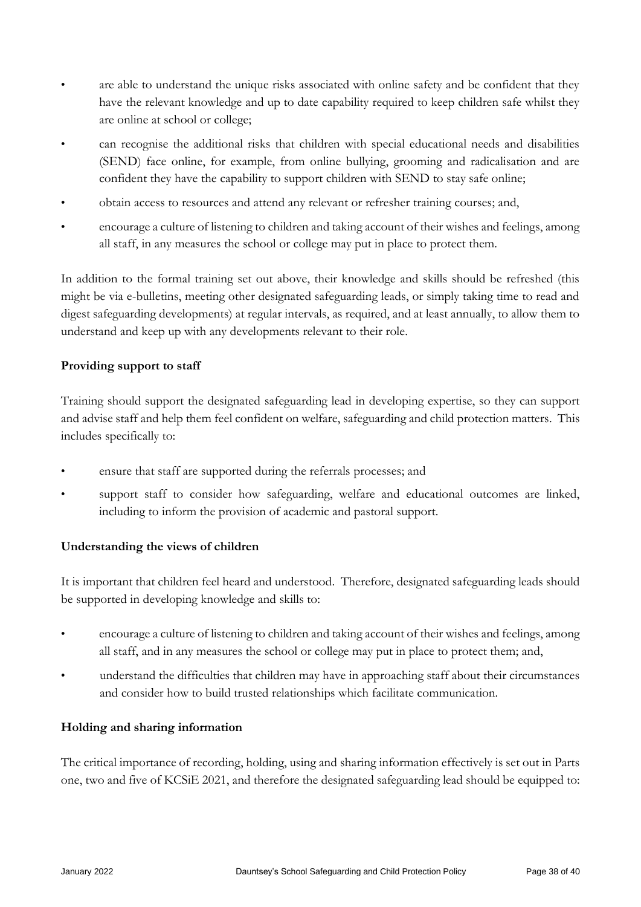- are able to understand the unique risks associated with online safety and be confident that they have the relevant knowledge and up to date capability required to keep children safe whilst they are online at school or college;
- can recognise the additional risks that children with special educational needs and disabilities (SEND) face online, for example, from online bullying, grooming and radicalisation and are confident they have the capability to support children with SEND to stay safe online;
- obtain access to resources and attend any relevant or refresher training courses; and,
- encourage a culture of listening to children and taking account of their wishes and feelings, among all staff, in any measures the school or college may put in place to protect them.

In addition to the formal training set out above, their knowledge and skills should be refreshed (this might be via e-bulletins, meeting other designated safeguarding leads, or simply taking time to read and digest safeguarding developments) at regular intervals, as required, and at least annually, to allow them to understand and keep up with any developments relevant to their role.

### **Providing support to staff**

Training should support the designated safeguarding lead in developing expertise, so they can support and advise staff and help them feel confident on welfare, safeguarding and child protection matters. This includes specifically to:

- ensure that staff are supported during the referrals processes; and
- support staff to consider how safeguarding, welfare and educational outcomes are linked, including to inform the provision of academic and pastoral support.

## **Understanding the views of children**

It is important that children feel heard and understood. Therefore, designated safeguarding leads should be supported in developing knowledge and skills to:

- encourage a culture of listening to children and taking account of their wishes and feelings, among all staff, and in any measures the school or college may put in place to protect them; and,
- understand the difficulties that children may have in approaching staff about their circumstances and consider how to build trusted relationships which facilitate communication.

## **Holding and sharing information**

The critical importance of recording, holding, using and sharing information effectively is set out in Parts one, two and five of KCSiE 2021, and therefore the designated safeguarding lead should be equipped to: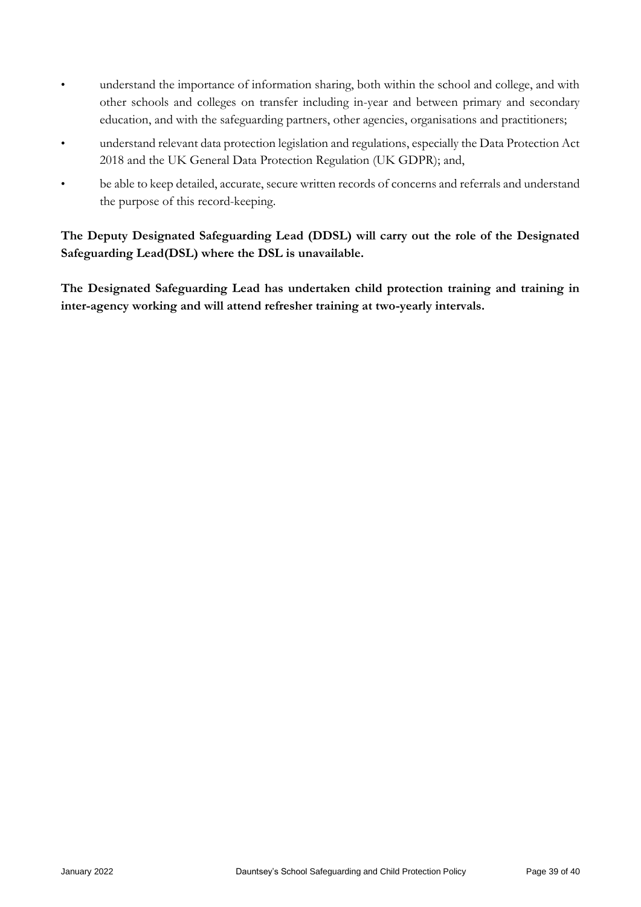- understand the importance of information sharing, both within the school and college, and with other schools and colleges on transfer including in-year and between primary and secondary education, and with the safeguarding partners, other agencies, organisations and practitioners;
- understand relevant data protection legislation and regulations, especially the Data Protection Act 2018 and the UK General Data Protection Regulation (UK GDPR); and,
- be able to keep detailed, accurate, secure written records of concerns and referrals and understand the purpose of this record-keeping.

# **The Deputy Designated Safeguarding Lead (DDSL) will carry out the role of the Designated Safeguarding Lead(DSL) where the DSL is unavailable.**

**The Designated Safeguarding Lead has undertaken child protection training and training in inter-agency working and will attend refresher training at two-yearly intervals.**